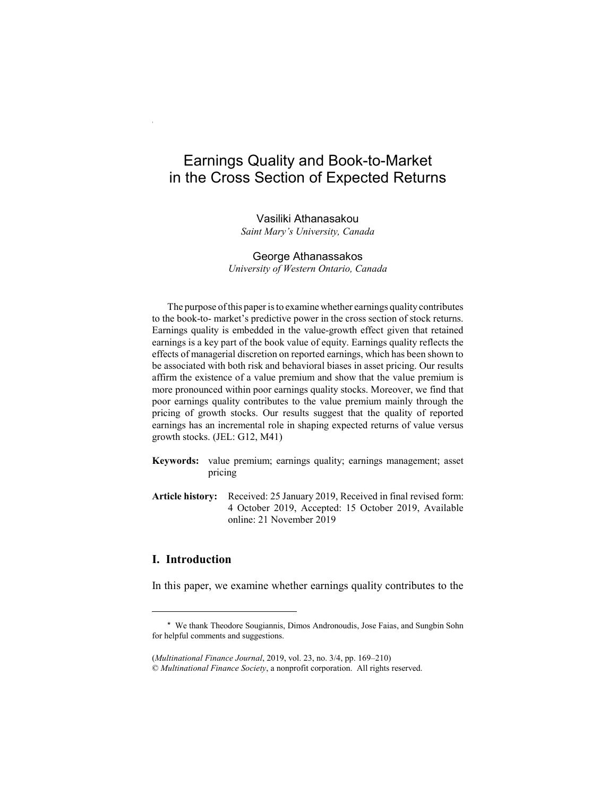# Earnings Quality and Book-to-Market in the Cross Section of Expected Returns

Vasiliki Athanasakou *Saint Mary's University, Canada*

George Athanassakos *University of Western Ontario, Canada*

The purpose of this paper is to examine whether earnings quality contributes to the book-to- market's predictive power in the cross section of stock returns. Earnings quality is embedded in the value-growth effect given that retained earnings is a key part of the book value of equity. Earnings quality reflects the effects of managerial discretion on reported earnings, which has been shown to be associated with both risk and behavioral biases in asset pricing. Our results affirm the existence of a value premium and show that the value premium is more pronounced within poor earnings quality stocks. Moreover, we find that poor earnings quality contributes to the value premium mainly through the pricing of growth stocks. Our results suggest that the quality of reported earnings has an incremental role in shaping expected returns of value versus growth stocks. (JEL: G12, M41)

- **Keywords:** value premium; earnings quality; earnings management; asset pricing
- **Article history:** Received: 25 January 2019, Received in final revised form: 4 October 2019, Accepted: 15 October 2019, Available online: 21 November 2019

## **I. Introduction**

In this paper, we examine whether earnings quality contributes to the

<sup>\*</sup> We thank Theodore Sougiannis, Dimos Andronoudis, Jose Faias, and Sungbin Sohn for helpful comments and suggestions.

<sup>(</sup>*Multinational Finance Journal*, 2019, vol. 23, no. 3/4, pp. 169–210) © *Multinational Finance Society*, a nonprofit corporation. All rights reserved.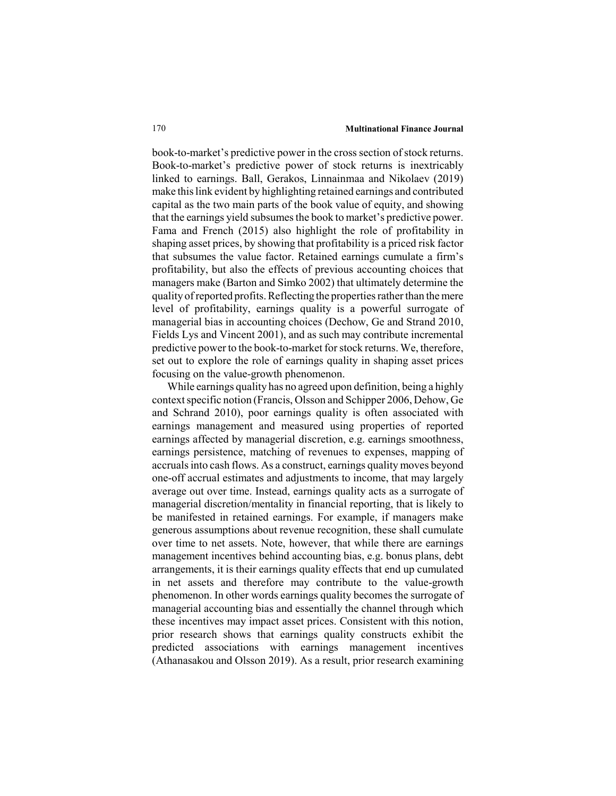book-to-market's predictive power in the cross section of stock returns. Book-to-market's predictive power of stock returns is inextricably linked to earnings. Ball, Gerakos, Linnainmaa and Nikolaev (2019) make this link evident by highlighting retained earnings and contributed capital as the two main parts of the book value of equity, and showing that the earnings yield subsumes the book to market's predictive power. Fama and French (2015) also highlight the role of profitability in shaping asset prices, by showing that profitability is a priced risk factor that subsumes the value factor. Retained earnings cumulate a firm's profitability, but also the effects of previous accounting choices that managers make (Barton and Simko 2002) that ultimately determine the quality of reported profits. Reflecting the properties rather than the mere level of profitability, earnings quality is a powerful surrogate of managerial bias in accounting choices (Dechow, Ge and Strand 2010, Fields Lys and Vincent 2001), and as such may contribute incremental predictive power to the book-to-market for stock returns. We, therefore, set out to explore the role of earnings quality in shaping asset prices focusing on the value-growth phenomenon.

While earnings quality has no agreed upon definition, being a highly context specific notion (Francis, Olsson and Schipper 2006, Dehow, Ge and Schrand 2010), poor earnings quality is often associated with earnings management and measured using properties of reported earnings affected by managerial discretion, e.g. earnings smoothness, earnings persistence, matching of revenues to expenses, mapping of accruals into cash flows. As a construct, earnings quality moves beyond one-off accrual estimates and adjustments to income, that may largely average out over time. Instead, earnings quality acts as a surrogate of managerial discretion/mentality in financial reporting, that is likely to be manifested in retained earnings. For example, if managers make generous assumptions about revenue recognition, these shall cumulate over time to net assets. Note, however, that while there are earnings management incentives behind accounting bias, e.g. bonus plans, debt arrangements, it is their earnings quality effects that end up cumulated in net assets and therefore may contribute to the value-growth phenomenon. In other words earnings quality becomes the surrogate of managerial accounting bias and essentially the channel through which these incentives may impact asset prices. Consistent with this notion, prior research shows that earnings quality constructs exhibit the predicted associations with earnings management incentives (Athanasakou and Olsson 2019). As a result, prior research examining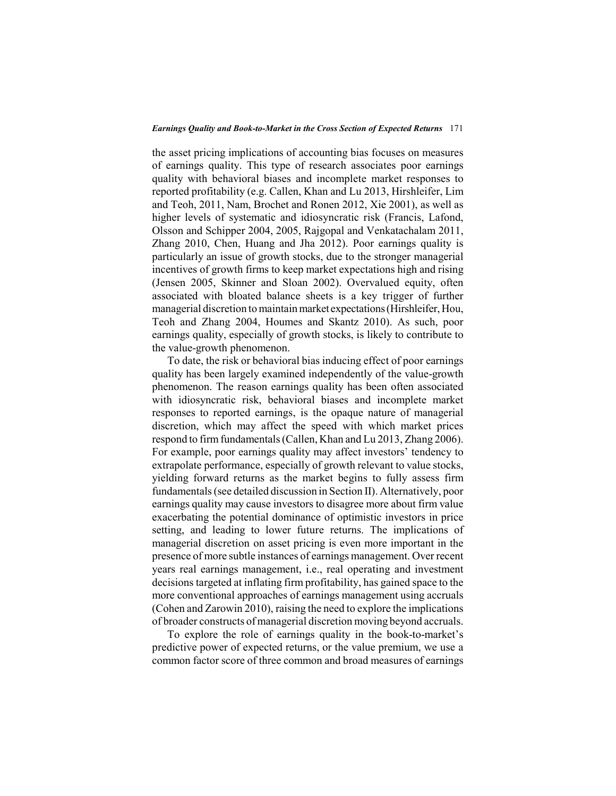the asset pricing implications of accounting bias focuses on measures of earnings quality. This type of research associates poor earnings quality with behavioral biases and incomplete market responses to reported profitability (e.g. Callen, Khan and Lu 2013, Hirshleifer, Lim and Teoh, 2011, Nam, Brochet and Ronen 2012, Xie 2001), as well as higher levels of systematic and idiosyncratic risk (Francis, Lafond, Olsson and Schipper 2004, 2005, Rajgopal and Venkatachalam 2011, Zhang 2010, Chen, Huang and Jha 2012). Poor earnings quality is particularly an issue of growth stocks, due to the stronger managerial incentives of growth firms to keep market expectations high and rising (Jensen 2005, Skinner and Sloan 2002). Overvalued equity, often associated with bloated balance sheets is a key trigger of further managerial discretion to maintain market expectations (Hirshleifer, Hou, Teoh and Zhang 2004, Houmes and Skantz 2010). As such, poor earnings quality, especially of growth stocks, is likely to contribute to the value-growth phenomenon.

To date, the risk or behavioral bias inducing effect of poor earnings quality has been largely examined independently of the value-growth phenomenon. The reason earnings quality has been often associated with idiosyncratic risk, behavioral biases and incomplete market responses to reported earnings, is the opaque nature of managerial discretion, which may affect the speed with which market prices respond to firm fundamentals (Callen, Khan and Lu 2013, Zhang 2006). For example, poor earnings quality may affect investors' tendency to extrapolate performance, especially of growth relevant to value stocks, yielding forward returns as the market begins to fully assess firm fundamentals (see detailed discussion in Section II). Alternatively, poor earnings quality may cause investors to disagree more about firm value exacerbating the potential dominance of optimistic investors in price setting, and leading to lower future returns. The implications of managerial discretion on asset pricing is even more important in the presence of more subtle instances of earnings management. Over recent years real earnings management, i.e., real operating and investment decisions targeted at inflating firm profitability, has gained space to the more conventional approaches of earnings management using accruals (Cohen and Zarowin 2010), raising the need to explore the implications of broader constructs of managerial discretion moving beyond accruals.

To explore the role of earnings quality in the book-to-market's predictive power of expected returns, or the value premium, we use a common factor score of three common and broad measures of earnings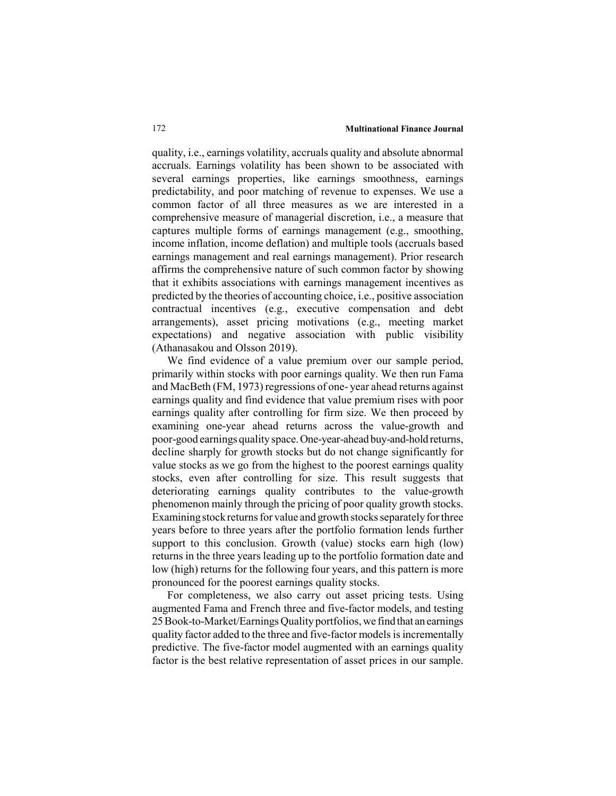quality, i.e., earnings volatility, accruals quality and absolute abnormal accruals. Earnings volatility has been shown to be associated with several earnings properties, like earnings smoothness, earnings predictability, and poor matching of revenue to expenses. We use a common factor of all three measures as we are interested in a comprehensive measure of managerial discretion, i.e., a measure that captures multiple forms of earnings management (e.g., smoothing, income inflation, income deflation) and multiple tools (accruals based earnings management and real earnings management). Prior research affirms the comprehensive nature of such common factor by showing that it exhibits associations with earnings management incentives as predicted by the theories of accounting choice, i.e., positive association contractual incentives (e.g., executive compensation and debt arrangements), asset pricing motivations (e.g., meeting market expectations) and negative association with public visibility (Athanasakou and Olsson 2019).

We find evidence of a value premium over our sample period, primarily within stocks with poor earnings quality. We then run Fama and MacBeth (FM, 1973) regressions of one- year ahead returns against earnings quality and find evidence that value premium rises with poor earnings quality after controlling for firm size. We then proceed by examining one-year ahead returns across the value-growth and poor-good earnings quality space. One-year-ahead buy-and-hold returns, decline sharply for growth stocks but do not change significantly for value stocks as we go from the highest to the poorest earnings quality stocks, even after controlling for size. This result suggests that deteriorating earnings quality contributes to the value-growth phenomenon mainly through the pricing of poor quality growth stocks. Examining stock returns for value and growth stocks separately for three years before to three years after the portfolio formation lends further support to this conclusion. Growth (value) stocks earn high (low) returns in the three years leading up to the portfolio formation date and low (high) returns for the following four years, and this pattern is more pronounced for the poorest earnings quality stocks.

For completeness, we also carry out asset pricing tests. Using augmented Fama and French three and five-factor models, and testing 25 Book-to-Market/Earnings Quality portfolios, we find that an earnings quality factor added to the three and five-factor models is incrementally predictive. The five-factor model augmented with an earnings quality factor is the best relative representation of asset prices in our sample.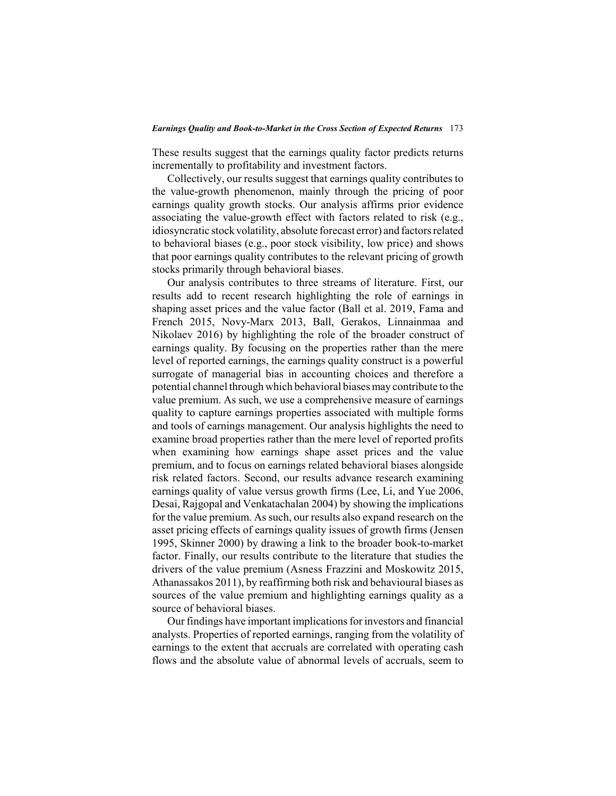These results suggest that the earnings quality factor predicts returns incrementally to profitability and investment factors.

Collectively, our results suggest that earnings quality contributes to the value-growth phenomenon, mainly through the pricing of poor earnings quality growth stocks. Our analysis affirms prior evidence associating the value-growth effect with factors related to risk (e.g., idiosyncratic stock volatility, absolute forecast error) and factors related to behavioral biases (e.g., poor stock visibility, low price) and shows that poor earnings quality contributes to the relevant pricing of growth stocks primarily through behavioral biases.

Our analysis contributes to three streams of literature. First, our results add to recent research highlighting the role of earnings in shaping asset prices and the value factor (Ball et al. 2019, Fama and French 2015, Novy-Marx 2013, Ball, Gerakos, Linnainmaa and Nikolaev 2016) by highlighting the role of the broader construct of earnings quality. By focusing on the properties rather than the mere level of reported earnings, the earnings quality construct is a powerful surrogate of managerial bias in accounting choices and therefore a potential channel through which behavioral biases may contribute to the value premium. As such, we use a comprehensive measure of earnings quality to capture earnings properties associated with multiple forms and tools of earnings management. Our analysis highlights the need to examine broad properties rather than the mere level of reported profits when examining how earnings shape asset prices and the value premium, and to focus on earnings related behavioral biases alongside risk related factors. Second, our results advance research examining earnings quality of value versus growth firms (Lee, Li, and Yue 2006, Desai, Rajgopal and Venkatachalan 2004) by showing the implications for the value premium. As such, our results also expand research on the asset pricing effects of earnings quality issues of growth firms (Jensen 1995, Skinner 2000) by drawing a link to the broader book-to-market factor. Finally, our results contribute to the literature that studies the drivers of the value premium (Asness Frazzini and Moskowitz 2015, Athanassakos 2011), by reaffirming both risk and behavioural biases as sources of the value premium and highlighting earnings quality as a source of behavioral biases.

Our findings have important implications for investors and financial analysts. Properties of reported earnings, ranging from the volatility of earnings to the extent that accruals are correlated with operating cash flows and the absolute value of abnormal levels of accruals, seem to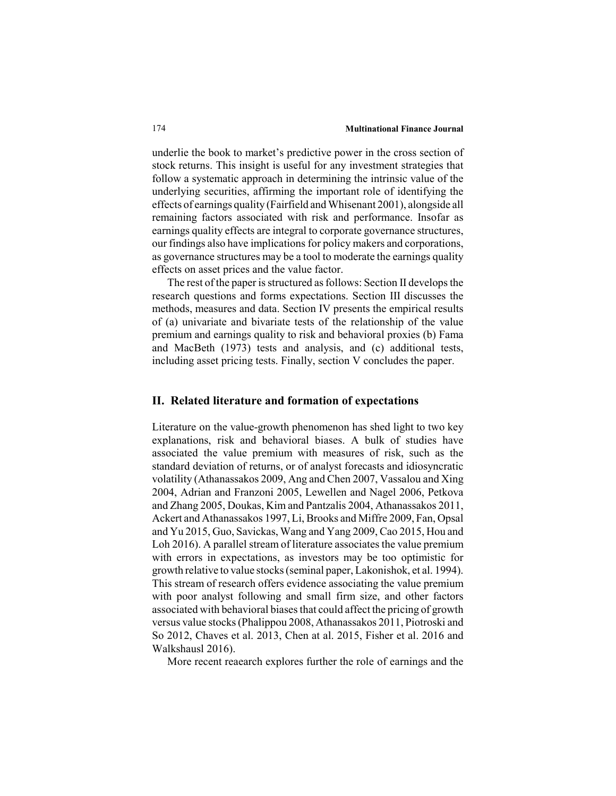underlie the book to market's predictive power in the cross section of stock returns. This insight is useful for any investment strategies that follow a systematic approach in determining the intrinsic value of the underlying securities, affirming the important role of identifying the effects of earnings quality (Fairfield and Whisenant 2001), alongside all remaining factors associated with risk and performance. Insofar as earnings quality effects are integral to corporate governance structures, our findings also have implications for policy makers and corporations, as governance structures may be a tool to moderate the earnings quality effects on asset prices and the value factor.

The rest of the paper is structured as follows: Section II develops the research questions and forms expectations. Section III discusses the methods, measures and data. Section IV presents the empirical results of (a) univariate and bivariate tests of the relationship of the value premium and earnings quality to risk and behavioral proxies (b) Fama and MacBeth (1973) tests and analysis, and (c) additional tests, including asset pricing tests. Finally, section V concludes the paper.

## **II. Related literature and formation of expectations**

Literature on the value-growth phenomenon has shed light to two key explanations, risk and behavioral biases. A bulk of studies have associated the value premium with measures of risk, such as the standard deviation of returns, or of analyst forecasts and idiosyncratic volatility (Athanassakos 2009, Ang and Chen 2007, Vassalou and Xing 2004, Adrian and Franzoni 2005, Lewellen and Nagel 2006, Petkova and Zhang 2005, Doukas, Kim and Pantzalis 2004, Athanassakos 2011, Ackert and Athanassakos 1997, Li, Brooks and Miffre 2009, Fan, Opsal and Yu 2015, Guo, Savickas, Wang and Yang 2009, Cao 2015, Hou and Loh 2016). A parallel stream of literature associates the value premium with errors in expectations, as investors may be too optimistic for growth relative to value stocks (seminal paper, Lakonishok, et al. 1994). This stream of research offers evidence associating the value premium with poor analyst following and small firm size, and other factors associated with behavioral biases that could affect the pricing of growth versus value stocks (Phalippou 2008, Athanassakos 2011, Piotroski and So 2012, Chaves et al. 2013, Chen at al. 2015, Fisher et al. 2016 and Walkshausl 2016).

More recent reaearch explores further the role of earnings and the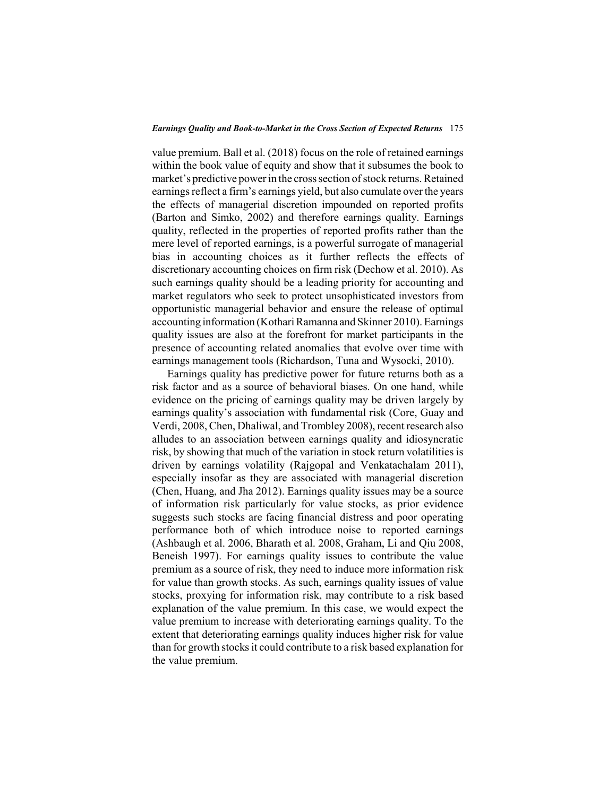#### *Earnings Quality and Book-to-Market in the Cross Section of Expected Returns* 175

value premium. Ball et al. (2018) focus on the role of retained earnings within the book value of equity and show that it subsumes the book to market's predictive power in the cross section of stock returns. Retained earnings reflect a firm's earnings yield, but also cumulate over the years the effects of managerial discretion impounded on reported profits (Barton and Simko, 2002) and therefore earnings quality. Earnings quality, reflected in the properties of reported profits rather than the mere level of reported earnings, is a powerful surrogate of managerial bias in accounting choices as it further reflects the effects of discretionary accounting choices on firm risk (Dechow et al. 2010). As such earnings quality should be a leading priority for accounting and market regulators who seek to protect unsophisticated investors from opportunistic managerial behavior and ensure the release of optimal accounting information (Kothari Ramanna and Skinner 2010). Earnings quality issues are also at the forefront for market participants in the presence of accounting related anomalies that evolve over time with earnings management tools (Richardson, Tuna and Wysocki, 2010).

Earnings quality has predictive power for future returns both as a risk factor and as a source of behavioral biases. On one hand, while evidence on the pricing of earnings quality may be driven largely by earnings quality's association with fundamental risk (Core, Guay and Verdi, 2008, Chen, Dhaliwal, and Trombley 2008), recent research also alludes to an association between earnings quality and idiosyncratic risk, by showing that much of the variation in stock return volatilities is driven by earnings volatility (Rajgopal and Venkatachalam 2011), especially insofar as they are associated with managerial discretion (Chen, Huang, and Jha 2012). Earnings quality issues may be a source of information risk particularly for value stocks, as prior evidence suggests such stocks are facing financial distress and poor operating performance both of which introduce noise to reported earnings (Ashbaugh et al. 2006, Bharath et al. 2008, Graham, Li and Qiu 2008, Beneish 1997). For earnings quality issues to contribute the value premium as a source of risk, they need to induce more information risk for value than growth stocks. As such, earnings quality issues of value stocks, proxying for information risk, may contribute to a risk based explanation of the value premium. In this case, we would expect the value premium to increase with deteriorating earnings quality. To the extent that deteriorating earnings quality induces higher risk for value than for growth stocks it could contribute to a risk based explanation for the value premium.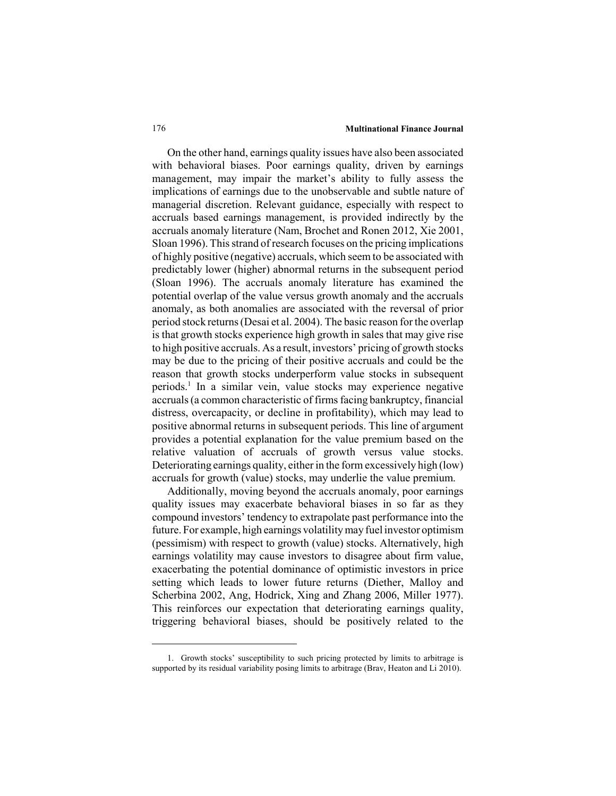On the other hand, earnings quality issues have also been associated with behavioral biases. Poor earnings quality, driven by earnings management, may impair the market's ability to fully assess the implications of earnings due to the unobservable and subtle nature of managerial discretion. Relevant guidance, especially with respect to accruals based earnings management, is provided indirectly by the accruals anomaly literature (Nam, Brochet and Ronen 2012, Xie 2001, Sloan 1996). This strand of research focuses on the pricing implications of highly positive (negative) accruals, which seem to be associated with predictably lower (higher) abnormal returns in the subsequent period (Sloan 1996). The accruals anomaly literature has examined the potential overlap of the value versus growth anomaly and the accruals anomaly, as both anomalies are associated with the reversal of prior period stock returns (Desai et al. 2004). The basic reason for the overlap is that growth stocks experience high growth in sales that may give rise to high positive accruals. As a result, investors' pricing of growth stocks may be due to the pricing of their positive accruals and could be the reason that growth stocks underperform value stocks in subsequent periods.1 In a similar vein, value stocks may experience negative accruals (a common characteristic of firms facing bankruptcy, financial distress, overcapacity, or decline in profitability), which may lead to positive abnormal returns in subsequent periods. This line of argument provides a potential explanation for the value premium based on the relative valuation of accruals of growth versus value stocks. Deteriorating earnings quality, either in the form excessively high (low) accruals for growth (value) stocks, may underlie the value premium.

Additionally, moving beyond the accruals anomaly, poor earnings quality issues may exacerbate behavioral biases in so far as they compound investors' tendency to extrapolate past performance into the future. For example, high earnings volatility may fuel investor optimism (pessimism) with respect to growth (value) stocks. Alternatively, high earnings volatility may cause investors to disagree about firm value, exacerbating the potential dominance of optimistic investors in price setting which leads to lower future returns (Diether, Malloy and Scherbina 2002, Ang, Hodrick, Xing and Zhang 2006, Miller 1977). This reinforces our expectation that deteriorating earnings quality, triggering behavioral biases, should be positively related to the

<sup>1.</sup> Growth stocks' susceptibility to such pricing protected by limits to arbitrage is supported by its residual variability posing limits to arbitrage (Brav, Heaton and Li 2010).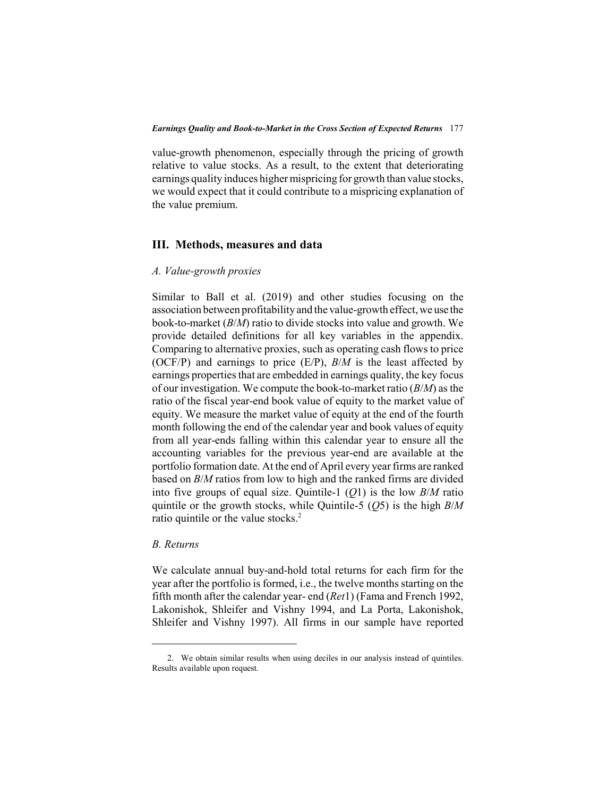value-growth phenomenon, especially through the pricing of growth relative to value stocks. As a result, to the extent that deteriorating earnings quality induces higher mispricing for growth than value stocks, we would expect that it could contribute to a mispricing explanation of the value premium.

## **III. Methods, measures and data**

## *A. Value-growth proxies*

Similar to Ball et al. (2019) and other studies focusing on the association between profitability and the value-growth effect, we use the book-to-market (*B*/*M*) ratio to divide stocks into value and growth. We provide detailed definitions for all key variables in the appendix. Comparing to alternative proxies, such as operating cash flows to price (OCF/P) and earnings to price (E/P), *B*/*M* is the least affected by earnings properties that are embedded in earnings quality, the key focus of our investigation. We compute the book-to-market ratio (*B*/*M*) as the ratio of the fiscal year-end book value of equity to the market value of equity. We measure the market value of equity at the end of the fourth month following the end of the calendar year and book values of equity from all year-ends falling within this calendar year to ensure all the accounting variables for the previous year-end are available at the portfolio formation date. At the end of April every year firms are ranked based on *B*/*M* ratios from low to high and the ranked firms are divided into five groups of equal size. Quintile-1 (*Q*1) is the low *B*/*M* ratio quintile or the growth stocks, while Quintile-5 (*Q*5) is the high *B*/*M* ratio quintile or the value stocks.<sup>2</sup>

## *B. Returns*

We calculate annual buy-and-hold total returns for each firm for the year after the portfolio is formed, i.e., the twelve months starting on the fifth month after the calendar year- end (*Ret*1) (Fama and French 1992, Lakonishok, Shleifer and Vishny 1994, and La Porta, Lakonishok, Shleifer and Vishny 1997). All firms in our sample have reported

<sup>2.</sup> We obtain similar results when using deciles in our analysis instead of quintiles. Results available upon request.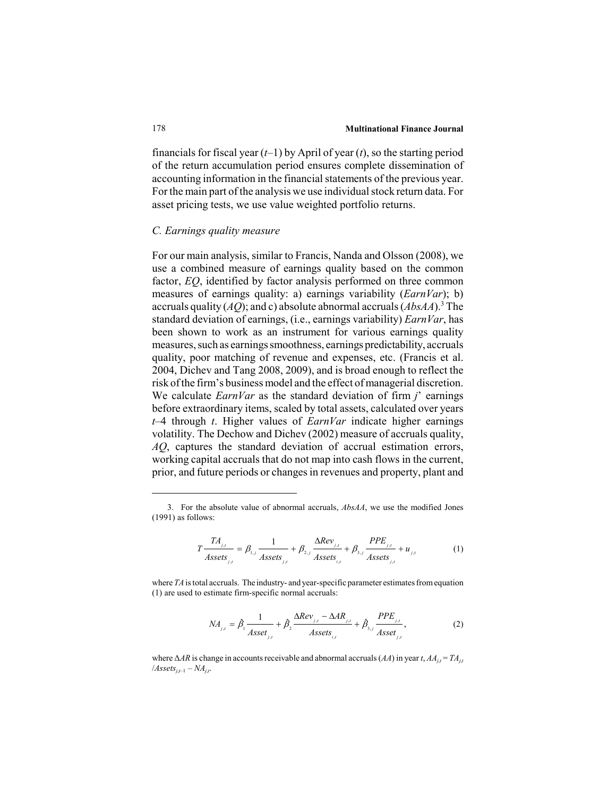financials for fiscal year (*t*–1) by April of year (*t*), so the starting period of the return accumulation period ensures complete dissemination of accounting information in the financial statements of the previous year. For the main part of the analysis we use individual stock return data. For asset pricing tests, we use value weighted portfolio returns.

### *C. Earnings quality measure*

For our main analysis, similar to Francis, Nanda and Olsson (2008), we use a combined measure of earnings quality based on the common factor, *EQ*, identified by factor analysis performed on three common measures of earnings quality: a) earnings variability (*EarnVar*); b) accruals quality (*AQ*); and c) absolute abnormal accruals (*AbsAA*).3 The standard deviation of earnings, (i.e., earnings variability) *EarnVar*, has been shown to work as an instrument for various earnings quality measures, such as earnings smoothness, earnings predictability, accruals quality, poor matching of revenue and expenses, etc. (Francis et al. 2004, Dichev and Tang 2008, 2009), and is broad enough to reflect the risk of the firm's business model and the effect of managerial discretion. We calculate *EarnVar* as the standard deviation of firm *j*' earnings before extraordinary items, scaled by total assets, calculated over years *t*–4 through *t*. Higher values of *EarnVar* indicate higher earnings volatility. The Dechow and Dichev (2002) measure of accruals quality, *AQ*, captures the standard deviation of accrual estimation errors, working capital accruals that do not map into cash flows in the current, prior, and future periods or changes in revenues and property, plant and

$$
T\frac{T A_{j,t}}{Assets_{j,t}} = \beta_{1,j} \frac{1}{Assets_{j,t}} + \beta_{2,j} \frac{\Delta Rev_{j,t}}{Assets_{j,t}} + \beta_{3,j} \frac{PPE_{j,t}}{Assets_{j,t}} + u_{j,t}
$$
(1)

where *TA* is total accruals. The industry- and year-specific parameter estimates from equation (1) are used to estimate firm-specific normal accruals:

$$
NA_{j,t} = \hat{\beta}_1 \frac{1}{A \, \text{sset}_{j,t}} + \hat{\beta}_2 \frac{\Delta \, \text{Rev}_{j,t} - \Delta \, \text{AR}_{j,t}}{A \, \text{sset}_{s,t}} + \hat{\beta}_{s,j} \frac{\text{PPE}_{j,t}}{A \, \text{sset}_{j,t}},\tag{2}
$$

where Δ*AR* is change in accounts receivable and abnormal accruals (*AA*) in year *t*, *AAj*,*<sup>t</sup>* = *TAj*,*<sup>t</sup>*  $\lambda$ *Assets*<sub> $j,t-1$ </sub> –  $NA_{j,t}$ .

<sup>3.</sup> For the absolute value of abnormal accruals, *AbsAA*, we use the modified Jones (1991) as follows: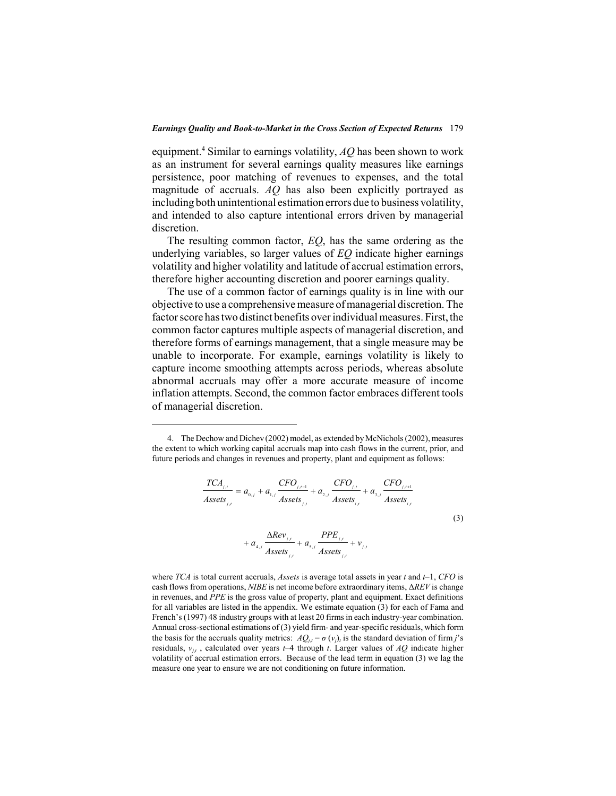equipment.4 Similar to earnings volatility, *AQ* has been shown to work as an instrument for several earnings quality measures like earnings persistence, poor matching of revenues to expenses, and the total magnitude of accruals. *AQ* has also been explicitly portrayed as including both unintentional estimation errors due to business volatility, and intended to also capture intentional errors driven by managerial discretion.

The resulting common factor, *EQ*, has the same ordering as the underlying variables, so larger values of *EQ* indicate higher earnings volatility and higher volatility and latitude of accrual estimation errors, therefore higher accounting discretion and poorer earnings quality.

The use of a common factor of earnings quality is in line with our objective to use a comprehensive measure of managerial discretion. The factor score has two distinct benefits over individual measures. First, the common factor captures multiple aspects of managerial discretion, and therefore forms of earnings management, that a single measure may be unable to incorporate. For example, earnings volatility is likely to capture income smoothing attempts across periods, whereas absolute abnormal accruals may offer a more accurate measure of income inflation attempts. Second, the common factor embraces different tools of managerial discretion.

$$
\frac{TCA_{j,t}}{Assets_{j,t}} = a_{0,j} + a_{1,j} \frac{CFO_{j,t-1}}{Assets_{j,t}} + a_{2,j} \frac{CFO_{j,t}}{Assets_{i,t}} + a_{3,j} \frac{CFO_{j,t+1}}{Assets_{i,t}}
$$
  
+  $a_{4,j} \frac{\Delta Rev_{j,t}}{Assets_{j,t}} + a_{5,j} \frac{PPE_{j,t}}{Assets_{j,t}} + v_{j,t}$  (3)

where *TCA* is total current accruals, *Assets* is average total assets in year *t* and *t*–1, *CFO* is cash flows from operations, *NIBE* is net income before extraordinary items, Δ*REV* is change in revenues, and *PPE* is the gross value of property, plant and equipment. Exact definitions for all variables are listed in the appendix. We estimate equation (3) for each of Fama and French's (1997) 48 industry groups with at least 20 firms in each industry-year combination. Annual cross-sectional estimations of (3) yield firm- and year-specific residuals, which form the basis for the accruals quality metrics:  $AQ_{i,t} = \sigma(v_i)$ , is the standard deviation of firm *j*'s residuals, *vj*,*<sup>t</sup>* , calculated over years *t*–4 through *t*. Larger values of *AQ* indicate higher volatility of accrual estimation errors. Because of the lead term in equation (3) we lag the measure one year to ensure we are not conditioning on future information.

<sup>4.</sup> The Dechow and Dichev (2002) model, as extended by McNichols (2002), measures the extent to which working capital accruals map into cash flows in the current, prior, and future periods and changes in revenues and property, plant and equipment as follows: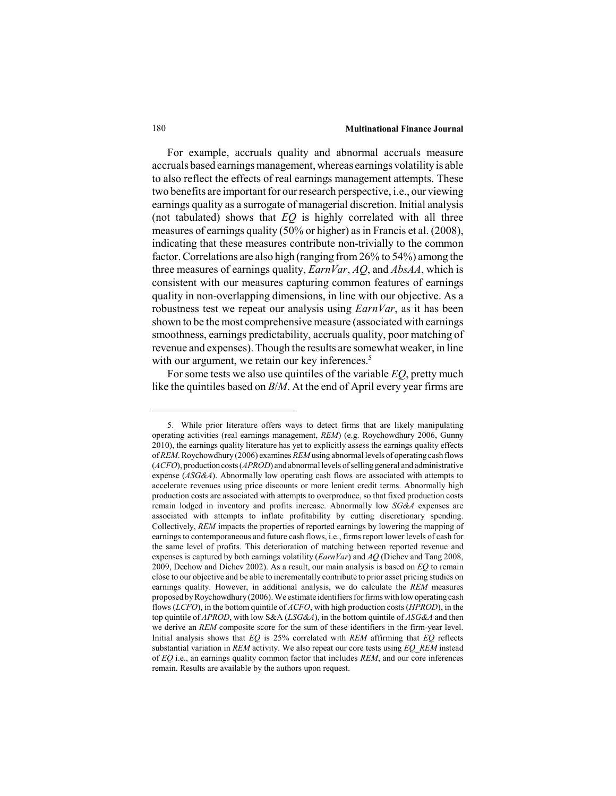For example, accruals quality and abnormal accruals measure accruals based earnings management, whereas earnings volatility is able to also reflect the effects of real earnings management attempts. These two benefits are important for our research perspective, i.e., our viewing earnings quality as a surrogate of managerial discretion. Initial analysis (not tabulated) shows that *EQ* is highly correlated with all three measures of earnings quality (50% or higher) as in Francis et al. (2008), indicating that these measures contribute non-trivially to the common factor. Correlations are also high (ranging from 26% to 54%) among the three measures of earnings quality, *EarnVar*, *AQ*, and *AbsAA*, which is consistent with our measures capturing common features of earnings quality in non-overlapping dimensions, in line with our objective. As a robustness test we repeat our analysis using *EarnVar*, as it has been shown to be the most comprehensive measure (associated with earnings smoothness, earnings predictability, accruals quality, poor matching of revenue and expenses). Though the results are somewhat weaker, in line with our argument, we retain our key inferences.<sup>5</sup>

For some tests we also use quintiles of the variable *EQ*, pretty much like the quintiles based on *B*/*M*. At the end of April every year firms are

<sup>5.</sup> While prior literature offers ways to detect firms that are likely manipulating operating activities (real earnings management, *REM*) (e.g. Roychowdhury 2006, Gunny 2010), the earnings quality literature has yet to explicitly assess the earnings quality effects of *REM*. Roychowdhury (2006) examines *REM* using abnormal levels of operating cash flows (*ACFO*), production costs (*APROD*) and abnormal levels of selling general and administrative expense (*ASG&A*). Abnormally low operating cash flows are associated with attempts to accelerate revenues using price discounts or more lenient credit terms. Abnormally high production costs are associated with attempts to overproduce, so that fixed production costs remain lodged in inventory and profits increase. Abnormally low *SG&A* expenses are associated with attempts to inflate profitability by cutting discretionary spending. Collectively, *REM* impacts the properties of reported earnings by lowering the mapping of earnings to contemporaneous and future cash flows, i.e., firms report lower levels of cash for the same level of profits. This deterioration of matching between reported revenue and expenses is captured by both earnings volatility (*EarnVar*) and *AQ* (Dichev and Tang 2008, 2009, Dechow and Dichev 2002). As a result, our main analysis is based on *EQ* to remain close to our objective and be able to incrementally contribute to prior asset pricing studies on earnings quality. However, in additional analysis, we do calculate the *REM* measures proposed by Roychowdhury (2006). We estimate identifiers for firms with low operating cash flows (*LCFO*), in the bottom quintile of *ACFO*, with high production costs (*HPROD*), in the top quintile of *APROD*, with low S&A (*LSG&A*), in the bottom quintile of *ASG&A* and then we derive an *REM* composite score for the sum of these identifiers in the firm-year level. Initial analysis shows that *EQ* is 25% correlated with *REM* affirming that *EQ* reflects substantial variation in *REM* activity. We also repeat our core tests using *EQ\_REM* instead of *EQ* i.e., an earnings quality common factor that includes *REM*, and our core inferences remain. Results are available by the authors upon request.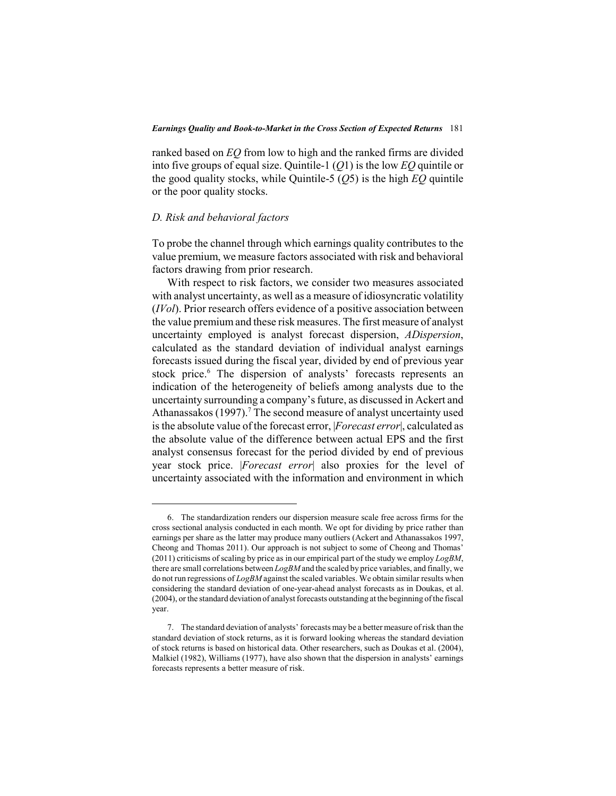ranked based on *EQ* from low to high and the ranked firms are divided into five groups of equal size. Quintile-1 (*Q*1) is the low *EQ* quintile or the good quality stocks, while Quintile-5 (*Q*5) is the high *EQ* quintile or the poor quality stocks.

## *D. Risk and behavioral factors*

To probe the channel through which earnings quality contributes to the value premium, we measure factors associated with risk and behavioral factors drawing from prior research.

With respect to risk factors, we consider two measures associated with analyst uncertainty, as well as a measure of idiosyncratic volatility (*IVol*). Prior research offers evidence of a positive association between the value premium and these risk measures. The first measure of analyst uncertainty employed is analyst forecast dispersion, *ADispersion*, calculated as the standard deviation of individual analyst earnings forecasts issued during the fiscal year, divided by end of previous year stock price.<sup>6</sup> The dispersion of analysts' forecasts represents an indication of the heterogeneity of beliefs among analysts due to the uncertainty surrounding a company's future, as discussed in Ackert and Athanassakos (1997).<sup>7</sup> The second measure of analyst uncertainty used is the absolute value of the forecast error, |*Forecast error*|, calculated as the absolute value of the difference between actual EPS and the first analyst consensus forecast for the period divided by end of previous year stock price. |*Forecast error*| also proxies for the level of uncertainty associated with the information and environment in which

<sup>6.</sup> The standardization renders our dispersion measure scale free across firms for the cross sectional analysis conducted in each month. We opt for dividing by price rather than earnings per share as the latter may produce many outliers (Ackert and Athanassakos 1997, Cheong and Thomas 2011). Our approach is not subject to some of Cheong and Thomas' (2011) criticisms of scaling by price as in our empirical part of the study we employ *LogBM*, there are small correlations between *LogBM* and the scaled by price variables, and finally, we do not run regressions of *LogBM* against the scaled variables. We obtain similar results when considering the standard deviation of one-year-ahead analyst forecasts as in Doukas, et al. (2004), or the standard deviation of analyst forecasts outstanding at the beginning of the fiscal year.

<sup>7.</sup> The standard deviation of analysts' forecasts may be a better measure of risk than the standard deviation of stock returns, as it is forward looking whereas the standard deviation of stock returns is based on historical data. Other researchers, such as Doukas et al. (2004), Malkiel (1982), Williams (1977), have also shown that the dispersion in analysts' earnings forecasts represents a better measure of risk.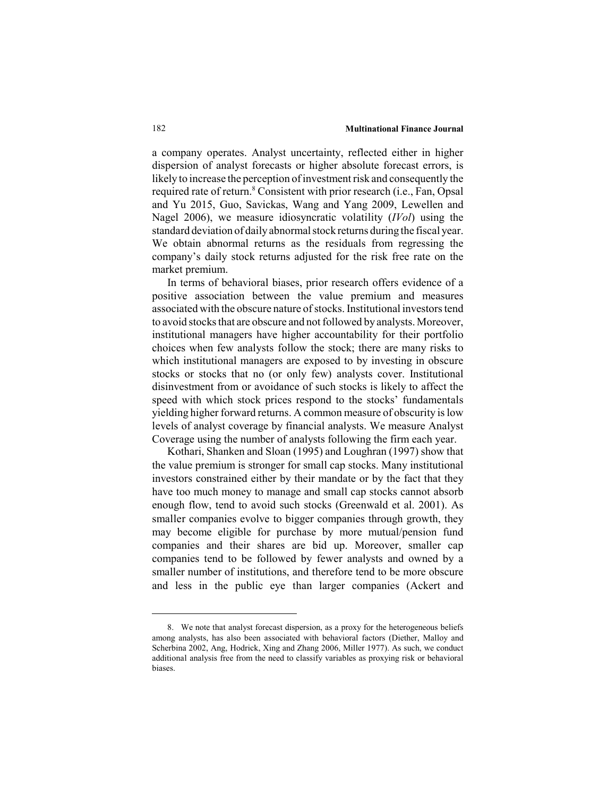a company operates. Analyst uncertainty, reflected either in higher dispersion of analyst forecasts or higher absolute forecast errors, is likely to increase the perception of investment risk and consequently the required rate of return.<sup>8</sup> Consistent with prior research (i.e., Fan, Opsal and Yu 2015, Guo, Savickas, Wang and Yang 2009, Lewellen and Nagel 2006), we measure idiosyncratic volatility (*IVol*) using the standard deviation of daily abnormal stock returns during the fiscal year. We obtain abnormal returns as the residuals from regressing the company's daily stock returns adjusted for the risk free rate on the market premium.

In terms of behavioral biases, prior research offers evidence of a positive association between the value premium and measures associated with the obscure nature of stocks. Institutional investors tend to avoid stocks that are obscure and not followed by analysts. Moreover, institutional managers have higher accountability for their portfolio choices when few analysts follow the stock; there are many risks to which institutional managers are exposed to by investing in obscure stocks or stocks that no (or only few) analysts cover. Institutional disinvestment from or avoidance of such stocks is likely to affect the speed with which stock prices respond to the stocks' fundamentals yielding higher forward returns. A common measure of obscurity is low levels of analyst coverage by financial analysts. We measure Analyst Coverage using the number of analysts following the firm each year.

Kothari, Shanken and Sloan (1995) and Loughran (1997) show that the value premium is stronger for small cap stocks. Many institutional investors constrained either by their mandate or by the fact that they have too much money to manage and small cap stocks cannot absorb enough flow, tend to avoid such stocks (Greenwald et al. 2001). As smaller companies evolve to bigger companies through growth, they may become eligible for purchase by more mutual/pension fund companies and their shares are bid up. Moreover, smaller cap companies tend to be followed by fewer analysts and owned by a smaller number of institutions, and therefore tend to be more obscure and less in the public eye than larger companies (Ackert and

<sup>8.</sup> We note that analyst forecast dispersion, as a proxy for the heterogeneous beliefs among analysts, has also been associated with behavioral factors (Diether, Malloy and Scherbina 2002, Ang, Hodrick, Xing and Zhang 2006, Miller 1977). As such, we conduct additional analysis free from the need to classify variables as proxying risk or behavioral biases.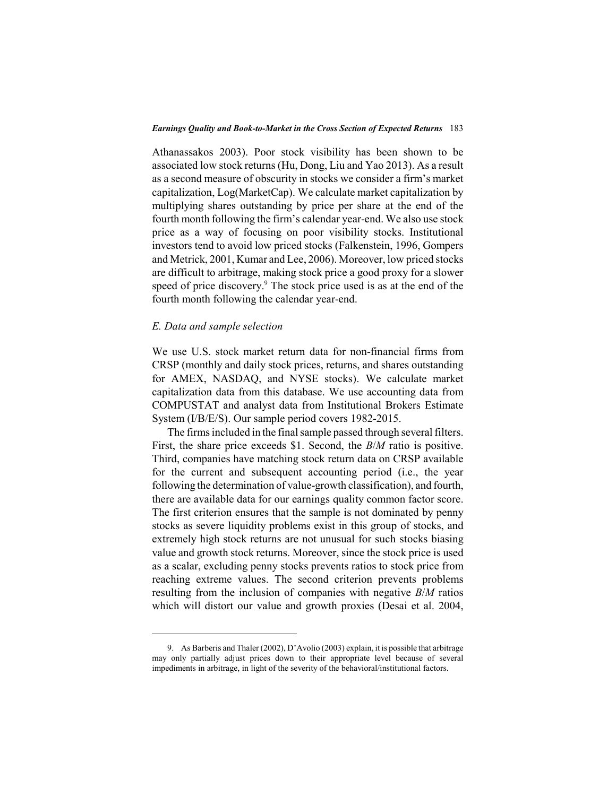Athanassakos 2003). Poor stock visibility has been shown to be associated low stock returns (Hu, Dong, Liu and Yao 2013). As a result as a second measure of obscurity in stocks we consider a firm's market capitalization, Log(MarketCap). We calculate market capitalization by multiplying shares outstanding by price per share at the end of the fourth month following the firm's calendar year-end. We also use stock price as a way of focusing on poor visibility stocks. Institutional investors tend to avoid low priced stocks (Falkenstein, 1996, Gompers and Metrick, 2001, Kumar and Lee, 2006). Moreover, low priced stocks are difficult to arbitrage, making stock price a good proxy for a slower speed of price discovery.<sup>9</sup> The stock price used is as at the end of the fourth month following the calendar year-end.

## *E. Data and sample selection*

We use U.S. stock market return data for non-financial firms from CRSP (monthly and daily stock prices, returns, and shares outstanding for AMEX, NASDAQ, and NYSE stocks). We calculate market capitalization data from this database. We use accounting data from COMPUSTAT and analyst data from Institutional Brokers Estimate System (I/B/E/S). Our sample period covers 1982-2015.

The firms included in the final sample passed through several filters. First, the share price exceeds \$1. Second, the *B*/*M* ratio is positive. Third, companies have matching stock return data on CRSP available for the current and subsequent accounting period (i.e., the year following the determination of value-growth classification), and fourth, there are available data for our earnings quality common factor score. The first criterion ensures that the sample is not dominated by penny stocks as severe liquidity problems exist in this group of stocks, and extremely high stock returns are not unusual for such stocks biasing value and growth stock returns. Moreover, since the stock price is used as a scalar, excluding penny stocks prevents ratios to stock price from reaching extreme values. The second criterion prevents problems resulting from the inclusion of companies with negative *B*/*M* ratios which will distort our value and growth proxies (Desai et al. 2004,

<sup>9.</sup> As Barberis and Thaler (2002), D'Avolio (2003) explain, it is possible that arbitrage may only partially adjust prices down to their appropriate level because of several impediments in arbitrage, in light of the severity of the behavioral/institutional factors.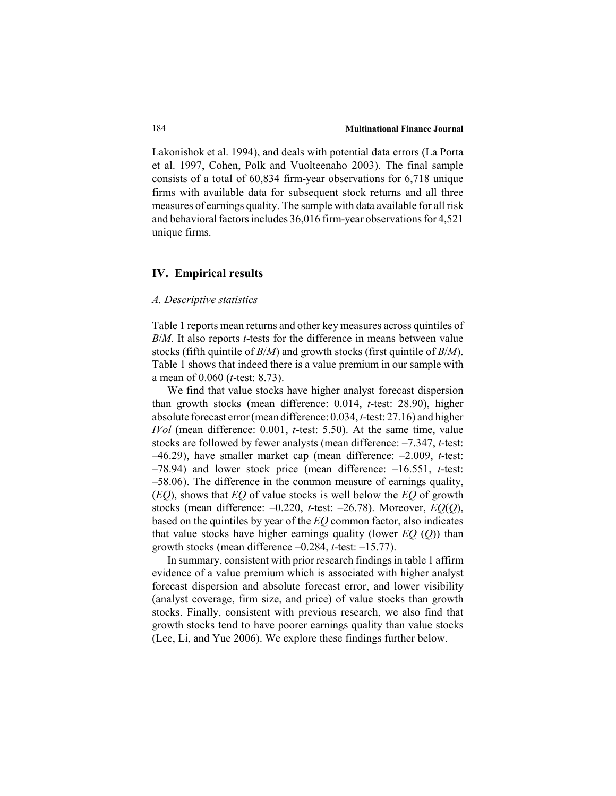Lakonishok et al. 1994), and deals with potential data errors (La Porta et al. 1997, Cohen, Polk and Vuolteenaho 2003). The final sample consists of a total of 60,834 firm-year observations for 6,718 unique firms with available data for subsequent stock returns and all three measures of earnings quality. The sample with data available for all risk and behavioral factors includes 36,016 firm-year observations for 4,521 unique firms.

## **IV. Empirical results**

#### *A. Descriptive statistics*

Table 1 reports mean returns and other key measures across quintiles of *B*/*M*. It also reports *t*-tests for the difference in means between value stocks (fifth quintile of *B*/*M*) and growth stocks (first quintile of *B*/*M*). Table 1 shows that indeed there is a value premium in our sample with a mean of 0.060 (*t*-test: 8.73).

We find that value stocks have higher analyst forecast dispersion than growth stocks (mean difference: 0.014, *t*-test: 28.90), higher absolute forecast error (mean difference: 0.034, *t*-test: 27.16) and higher *IVol* (mean difference: 0.001, *t*-test: 5.50). At the same time, value stocks are followed by fewer analysts (mean difference: –7.347, *t*-test: –46.29), have smaller market cap (mean difference: –2.009, *t*-test: –78.94) and lower stock price (mean difference: –16.551, *t*-test: –58.06). The difference in the common measure of earnings quality, (*EQ*), shows that *EQ* of value stocks is well below the *EQ* of growth stocks (mean difference: –0.220, *t*-test: –26.78). Moreover, *EQ*(*Q*), based on the quintiles by year of the *EQ* common factor, also indicates that value stocks have higher earnings quality (lower *EQ* (*Q*)) than growth stocks (mean difference –0.284, *t*-test: –15.77).

In summary, consistent with prior research findings in table 1 affirm evidence of a value premium which is associated with higher analyst forecast dispersion and absolute forecast error, and lower visibility (analyst coverage, firm size, and price) of value stocks than growth stocks. Finally, consistent with previous research, we also find that growth stocks tend to have poorer earnings quality than value stocks (Lee, Li, and Yue 2006). We explore these findings further below.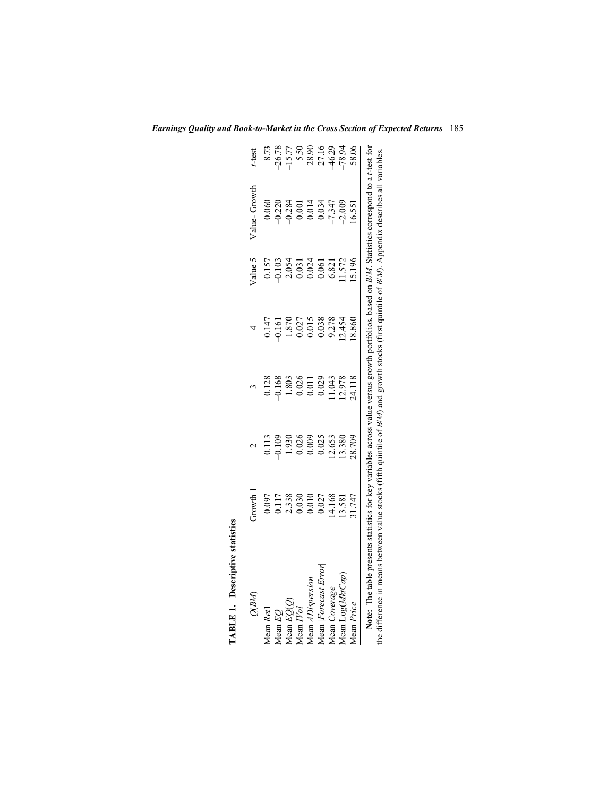| Q(BM)                                                                                                                                                    | Growth 1                                                        |                                                         |        |                                                                             | Value 5                                                                           | Value-Growth                                                                                                                    | t-test                                   |
|----------------------------------------------------------------------------------------------------------------------------------------------------------|-----------------------------------------------------------------|---------------------------------------------------------|--------|-----------------------------------------------------------------------------|-----------------------------------------------------------------------------------|---------------------------------------------------------------------------------------------------------------------------------|------------------------------------------|
| Mean Reti                                                                                                                                                |                                                                 |                                                         | 0.128  |                                                                             |                                                                                   | 0.060                                                                                                                           | 8.73                                     |
| Mean EO                                                                                                                                                  | 0.117                                                           | $\begin{array}{c} 0.113 \\ 0.109 \end{array}$           | 0.168  | $0.147$<br>$0.161$                                                          | $0.157$<br>$-0.103$                                                               | $0.220$<br>$0.284$                                                                                                              | $-26.78$                                 |
| ${\tt Mean}\,EQ(Q)$                                                                                                                                      | $\begin{array}{c} 2.338 \\ 0.030 \\ 0.010 \\ 0.027 \end{array}$ | 1.930                                                   | .803   |                                                                             | $\begin{array}{c} 2.054 \\ 0.031 \\ 0.024 \\ 0.061 \\ 6.821 \\ 6.821 \end{array}$ |                                                                                                                                 |                                          |
| Mean IVol                                                                                                                                                |                                                                 | 0.026                                                   | 0.026  |                                                                             |                                                                                   | 0.001                                                                                                                           |                                          |
| Mean ADispersion                                                                                                                                         |                                                                 | $\begin{array}{c} 0.009 \\ 0.025 \\ 12.653 \end{array}$ | 0.011  | $\begin{array}{c} 1.870 \\ 0.027 \\ 0.015 \\ 0.038 \\ 0.038 \\ \end{array}$ |                                                                                   | 0.014                                                                                                                           | 5.50<br>28.90<br>27.16<br>46.29<br>78.94 |
| Mean Forecast Error                                                                                                                                      |                                                                 |                                                         | 0.029  |                                                                             |                                                                                   | 0.034                                                                                                                           |                                          |
| Mean Coverage                                                                                                                                            | 14.168                                                          |                                                         | 1.043  |                                                                             |                                                                                   | $-7.347$                                                                                                                        |                                          |
| lean Log(MktCap                                                                                                                                          | 13.581                                                          | 13.380                                                  | 12.978 | 12.454                                                                      |                                                                                   | $-2.009$                                                                                                                        |                                          |
| Mean <i>Price</i>                                                                                                                                        | 1.747                                                           | 28.709                                                  | 24.118 | 18.860                                                                      | 5.196                                                                             | $-16.551$                                                                                                                       | 58.06                                    |
| Note: The table presents statistics for key variables across value versus growth portfolios, based on $B/M$ . Statistics correspond to a t-test for<br>ë |                                                                 |                                                         |        |                                                                             |                                                                                   | between value stocks (fifth quintile of $B/M$ ) and growth stocks (first quintile of $B/M$ ). Appendix describes all variables. |                                          |

*Earnings Quality and Book-to-Market in the Cross Section of Expected Returns* 185

TABLE 1. Descriptive statistics **TABLE 1. Descriptive statistics**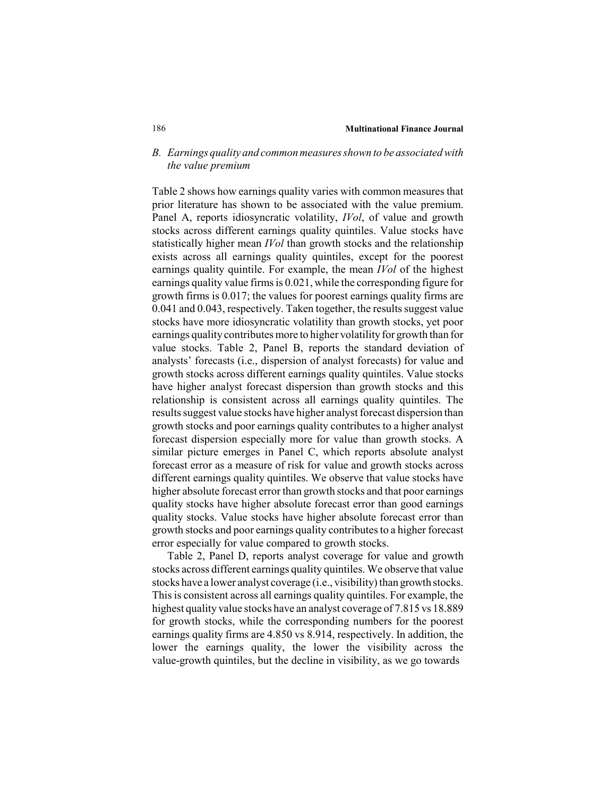## *B. Earnings quality and common measures shown to be associated with the value premium*

Table 2 shows how earnings quality varies with common measures that prior literature has shown to be associated with the value premium. Panel A, reports idiosyncratic volatility, *IVol*, of value and growth stocks across different earnings quality quintiles. Value stocks have statistically higher mean *IVol* than growth stocks and the relationship exists across all earnings quality quintiles, except for the poorest earnings quality quintile. For example, the mean *IVol* of the highest earnings quality value firms is 0.021, while the corresponding figure for growth firms is 0.017; the values for poorest earnings quality firms are 0.041 and 0.043, respectively. Taken together, the results suggest value stocks have more idiosyncratic volatility than growth stocks, yet poor earnings quality contributes more to higher volatility for growth than for value stocks. Table 2, Panel B, reports the standard deviation of analysts' forecasts (i.e., dispersion of analyst forecasts) for value and growth stocks across different earnings quality quintiles. Value stocks have higher analyst forecast dispersion than growth stocks and this relationship is consistent across all earnings quality quintiles. The results suggest value stocks have higher analyst forecast dispersion than growth stocks and poor earnings quality contributes to a higher analyst forecast dispersion especially more for value than growth stocks. A similar picture emerges in Panel C, which reports absolute analyst forecast error as a measure of risk for value and growth stocks across different earnings quality quintiles. We observe that value stocks have higher absolute forecast error than growth stocks and that poor earnings quality stocks have higher absolute forecast error than good earnings quality stocks. Value stocks have higher absolute forecast error than growth stocks and poor earnings quality contributes to a higher forecast error especially for value compared to growth stocks.

Table 2, Panel D, reports analyst coverage for value and growth stocks across different earnings quality quintiles. We observe that value stocks have a lower analyst coverage (i.e., visibility) than growth stocks. This is consistent across all earnings quality quintiles. For example, the highest quality value stocks have an analyst coverage of 7.815 vs 18.889 for growth stocks, while the corresponding numbers for the poorest earnings quality firms are 4.850 vs 8.914, respectively. In addition, the lower the earnings quality, the lower the visibility across the value-growth quintiles, but the decline in visibility, as we go towards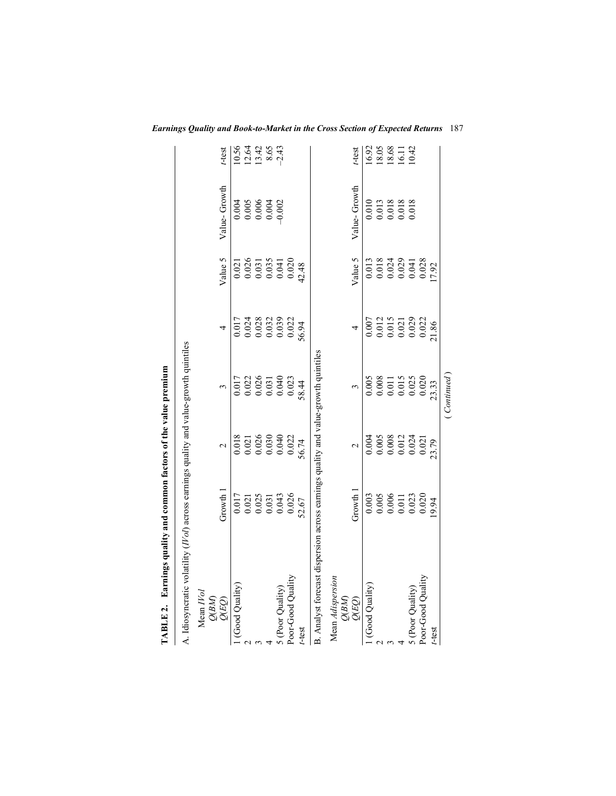| TABLE 2. Earnings quality and common factors of the value premium                             |                                                                                               |                                                                                            |                                                                                            |                                                                                                                          |                                                                                                     |                                                                                   |                                           |
|-----------------------------------------------------------------------------------------------|-----------------------------------------------------------------------------------------------|--------------------------------------------------------------------------------------------|--------------------------------------------------------------------------------------------|--------------------------------------------------------------------------------------------------------------------------|-----------------------------------------------------------------------------------------------------|-----------------------------------------------------------------------------------|-------------------------------------------|
| A. Idiosyncratic volatility (IVol) across earnings quality and value-growth quintiles         |                                                                                               |                                                                                            |                                                                                            |                                                                                                                          |                                                                                                     |                                                                                   |                                           |
| $\begin{array}{l} \text{Mean}\ IVol \\\text{Q(BM)}\\ \text{Q(BM)}\\ \text{Q(EQ)} \end{array}$ | Growth 1                                                                                      | $\mathbf 2$                                                                                |                                                                                            | 4                                                                                                                        | Value 5                                                                                             | Value-Growth                                                                      | t-test                                    |
| 1 (Good Quality)                                                                              | $\begin{array}{c} 0.017 \\ 0.021 \\ 0.025 \\ 0.031 \\ 0.043 \\ 0.043 \\ 0.026 \\ \end{array}$ | $\begin{array}{c} 0.018 \\ 0.021 \\ 0.026 \\ 0.030 \\ 0.040 \\ 0.040 \\ \end{array}$       | $\begin{array}{l} 0.017 \\ 0.022 \\ 0.026 \\ 0.031 \\ 0.031 \\ 0.040 \\ 0.023 \end{array}$ | $\begin{array}{l} 0.017 \\ 0.024 \\ 0.028 \\ 0.032 \\ 0.032 \\ 0.039 \\ 0.039 \\ 0.024 \\ 0.039 \\ 0.022 \\ \end{array}$ | $\begin{array}{c} 0.021 \\ 0.026 \\ 0.031 \\ 0.035 \\ 0.041 \\ 0.020 \\ 0.020 \\ 42.48 \end{array}$ | $0.004$<br>$0.005$<br>$0.006$<br>$0.004$<br>$0.002$                               | $10.56$<br>$12.48$<br>$13.86$<br>$-2.43$  |
|                                                                                               |                                                                                               |                                                                                            |                                                                                            |                                                                                                                          |                                                                                                     |                                                                                   |                                           |
|                                                                                               |                                                                                               |                                                                                            |                                                                                            |                                                                                                                          |                                                                                                     |                                                                                   |                                           |
|                                                                                               |                                                                                               |                                                                                            |                                                                                            |                                                                                                                          |                                                                                                     |                                                                                   |                                           |
| 5 (Poor Quality)                                                                              |                                                                                               |                                                                                            |                                                                                            |                                                                                                                          |                                                                                                     |                                                                                   |                                           |
| Poor-Good Quality                                                                             |                                                                                               |                                                                                            |                                                                                            |                                                                                                                          |                                                                                                     |                                                                                   |                                           |
| t-test                                                                                        |                                                                                               | 56.74                                                                                      | 58.44                                                                                      |                                                                                                                          |                                                                                                     |                                                                                   |                                           |
| B. Analyst forecast dispersion across earnings quality and value-growth quintiles             |                                                                                               |                                                                                            |                                                                                            |                                                                                                                          |                                                                                                     |                                                                                   |                                           |
| Mean <i>Adispersion</i><br>$\frac{Q(BM)}{Q(EQ)}$                                              |                                                                                               |                                                                                            |                                                                                            |                                                                                                                          |                                                                                                     |                                                                                   |                                           |
|                                                                                               | Growth 1                                                                                      | $\overline{\mathcal{C}}$                                                                   |                                                                                            | 4                                                                                                                        | Value 5                                                                                             | Value-Growth                                                                      | t-test                                    |
| 1 (Good Quality)                                                                              | $\begin{array}{c} 0.003 \\ 0.005 \\ 0.006 \\ 0.011 \\ 0.023 \\ 0.020 \end{array}$             | $\begin{array}{c} 0.004 \\ 0.005 \\ 0.008 \\ 0.012 \\ 0.012 \\ 0.024 \\ 0.021 \end{array}$ | $\begin{array}{c} 0.005 \\ 0.008 \\ 0.011 \\ 0.015 \\ 0.025 \\ 0.020 \end{array}$          | $\begin{array}{c} 0.007 \\ 0.012 \\ 0.015 \\ 0.021 \\ 0.029 \\ 0.029 \\ 0.022 \end{array}$                               |                                                                                                     | $\begin{array}{c} 0.010 \\ 0.013 \\ 0.018 \\ 0.018 \\ 0.018 \\ 0.018 \end{array}$ |                                           |
|                                                                                               |                                                                                               |                                                                                            |                                                                                            |                                                                                                                          |                                                                                                     |                                                                                   | 16.92<br>18.05<br>18.68<br>16.11<br>10.42 |
|                                                                                               |                                                                                               |                                                                                            |                                                                                            |                                                                                                                          | $\begin{array}{c} 0.013 \\ 0.018 \\ 0.024 \\ 0.029 \\ 0.041 \\ 0.041 \\ 0.028 \end{array}$          |                                                                                   |                                           |
|                                                                                               |                                                                                               |                                                                                            |                                                                                            |                                                                                                                          |                                                                                                     |                                                                                   |                                           |
| 5 (Poor Quality)                                                                              |                                                                                               |                                                                                            |                                                                                            |                                                                                                                          |                                                                                                     |                                                                                   |                                           |
| Poor-Good Quality                                                                             |                                                                                               |                                                                                            |                                                                                            |                                                                                                                          |                                                                                                     |                                                                                   |                                           |
| t-test                                                                                        | 9.94                                                                                          | 23.79                                                                                      | 23.33                                                                                      | 21.86                                                                                                                    | 17.92                                                                                               |                                                                                   |                                           |
|                                                                                               |                                                                                               |                                                                                            | Continued                                                                                  |                                                                                                                          |                                                                                                     |                                                                                   |                                           |

*Earnings Quality and Book-to-Market in the Cross Section of Expected Returns* 187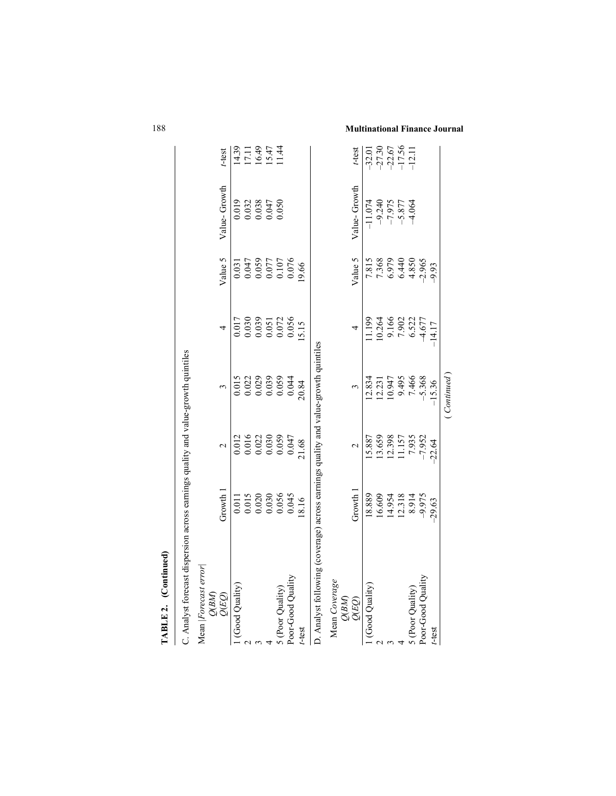| TABLE 2. (Continued)                                                               |                                                                                      |                   |                  |                                                                                   |                                                      |                                                                                      |                                    |
|------------------------------------------------------------------------------------|--------------------------------------------------------------------------------------|-------------------|------------------|-----------------------------------------------------------------------------------|------------------------------------------------------|--------------------------------------------------------------------------------------|------------------------------------|
| C. Analyst forecast dispersion across earnings quality and value-growth quintiles  |                                                                                      |                   |                  |                                                                                   |                                                      |                                                                                      |                                    |
| Mean Forecast error<br>$\frac{Q(BM)}{Q(EQ)}$                                       | Growth 1                                                                             | $\mathbf{\Omega}$ |                  | 4                                                                                 | Value 5                                              | Value-Growth                                                                         | t-test                             |
| 1 (Good Quality)                                                                   |                                                                                      | 0.012             | 0.015            | 0.017                                                                             | 0.031                                                |                                                                                      |                                    |
|                                                                                    |                                                                                      |                   |                  |                                                                                   |                                                      |                                                                                      |                                    |
|                                                                                    | $\begin{array}{c} 0.011 \\ 0.015 \\ 0.020 \\ 0.030 \\ 0.030 \\ 0.056 \\ \end{array}$ | 0.016<br>0.022    | 0.022<br>0.029   | $\begin{array}{c} 0.030 \\ 0.039 \\ 0.051 \\ 0.051 \\ 0.072 \\ 0.056 \end{array}$ | 0.047<br>0.059<br>0.077<br>0.107<br>0.076            | $\begin{array}{c} 0.019 \\ 0.032 \\ 0.033 \\ 0.047 \\ 0.047 \\ 0.050 \\ \end{array}$ | $14.39$<br>17.19<br>17.47<br>11.44 |
|                                                                                    |                                                                                      | 0.030             | 0.039            |                                                                                   |                                                      |                                                                                      |                                    |
|                                                                                    |                                                                                      | 0.059             |                  |                                                                                   |                                                      |                                                                                      |                                    |
| 5 (Poor Quality)<br>Poor-Good Quality                                              |                                                                                      | 0.047             | 0.059<br>0.044   |                                                                                   |                                                      |                                                                                      |                                    |
| t-test                                                                             | 8.16                                                                                 | 21.68             | 20.84            | 5.15                                                                              | 9.66                                                 |                                                                                      |                                    |
| D. Analyst following (coverage) across earnings quality and value-growth quintiles |                                                                                      |                   |                  |                                                                                   |                                                      |                                                                                      |                                    |
| Mean Coverage                                                                      |                                                                                      |                   |                  |                                                                                   |                                                      |                                                                                      |                                    |
| $\frac{Q(BM)}{Q(EQ)}$                                                              | Growth <sup>1</sup>                                                                  | $\mathbf{\sim}$   |                  | 4                                                                                 | Value 5                                              | Value-Growth                                                                         | t-test                             |
| 1 (Good Quality)                                                                   | 18.889                                                                               | 15.887            | 12.834           | 1.199                                                                             |                                                      | $-11.074$                                                                            | $-32.01$                           |
|                                                                                    | 16.609                                                                               | 13.659            |                  |                                                                                   |                                                      | $-9.240$                                                                             |                                    |
|                                                                                    | 14.954                                                                               | 12.398<br>11.157  | 12.231<br>10.947 | 10.264<br>9.166                                                                   |                                                      | $-7.975$                                                                             |                                    |
|                                                                                    | 12.318                                                                               |                   | 9.495            | 7.902                                                                             |                                                      | $-5.877$                                                                             | $-27.30$<br>$-22.67$<br>$-17.56$   |
|                                                                                    | 8.914                                                                                | 7.935             | 7.466            | 6.522<br>4.677                                                                    | 7.815<br>7.368<br>7.368<br>6.4.850<br>4.850<br>4.850 | $-4.064$                                                                             | $-12.11$                           |
| 5 (Poor Quality)<br>Poor-Good Quality                                              |                                                                                      |                   | $-5.368$         |                                                                                   |                                                      |                                                                                      |                                    |
| t-test                                                                             | $-29.63$                                                                             | $-22.64$          | $-15.36$         | 14.17                                                                             | $-9.93$                                              |                                                                                      |                                    |
|                                                                                    |                                                                                      |                   | Continued        |                                                                                   |                                                      |                                                                                      |                                    |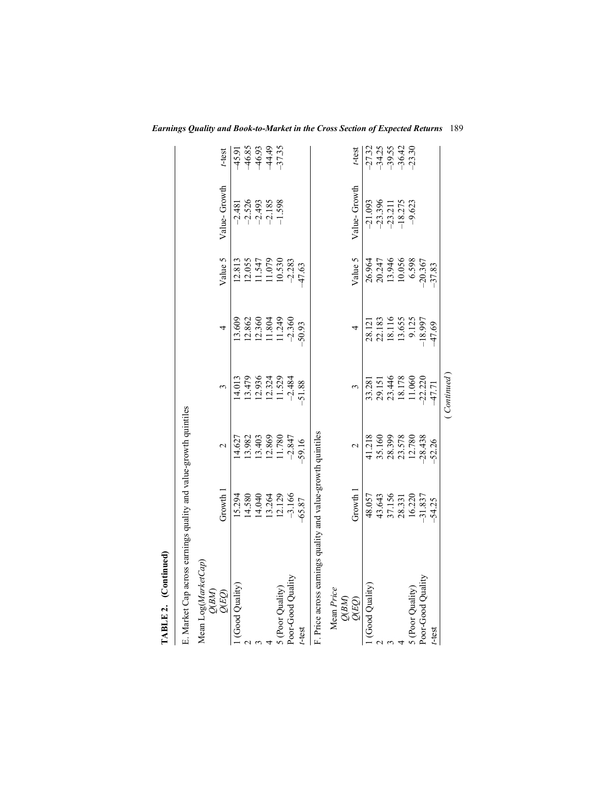| TABLE 2. (Continued)                                             |                                                                                         |                                                                     |                                                          |                                                                                                  |                                                                     |                                              |                                                           |
|------------------------------------------------------------------|-----------------------------------------------------------------------------------------|---------------------------------------------------------------------|----------------------------------------------------------|--------------------------------------------------------------------------------------------------|---------------------------------------------------------------------|----------------------------------------------|-----------------------------------------------------------|
| E. Market Cap across earnings quality and value-growth quintiles |                                                                                         |                                                                     |                                                          |                                                                                                  |                                                                     |                                              |                                                           |
| Mean Log(MarketCap)<br>$\frac{Q(BM)}{Q(EQ)}$                     | Growth 1                                                                                | $\mathcal{L}$                                                       |                                                          | 4                                                                                                | Value 5                                                             | Value-Growth                                 | t-test                                                    |
| (Good Quality)                                                   |                                                                                         |                                                                     |                                                          |                                                                                                  |                                                                     |                                              |                                                           |
|                                                                  |                                                                                         | 14.627<br>13.982                                                    |                                                          |                                                                                                  |                                                                     | $-2.481$<br>$-2.526$<br>$-2.185$<br>$-1.598$ | 15.93<br>6.95.95<br>6.95.95<br>6.95.95                    |
|                                                                  |                                                                                         |                                                                     |                                                          |                                                                                                  |                                                                     |                                              |                                                           |
|                                                                  |                                                                                         |                                                                     |                                                          |                                                                                                  |                                                                     |                                              |                                                           |
| 5 (Poor Quality)                                                 | $\begin{array}{r} 15.294 \\ 14.580 \\ 14.040 \\ 13.264 \\ 12.129 \\ -3.166 \end{array}$ | $\begin{array}{c} 13.403 \\ 12.869 \\ 11.780 \\ -2.847 \end{array}$ | 14.013<br>13.479<br>12.936<br>12.324<br>1.529<br>1.524   | $\begin{array}{c}\n 13.609 \\  12.862 \\  12.360 \\  11.349 \\  11.749 \\  -2.360\n \end{array}$ | 12.813<br>12.055<br>11.547<br>11.079<br>10.530<br>22.283<br>23.7.63 |                                              |                                                           |
| Poor-Good Quality                                                |                                                                                         |                                                                     |                                                          |                                                                                                  |                                                                     |                                              |                                                           |
| t-test                                                           | 65.87                                                                                   | 59.16                                                               | 51.88                                                    | 50.93                                                                                            |                                                                     |                                              |                                                           |
| F. Price across earnings quality and value-growth quintiles      |                                                                                         |                                                                     |                                                          |                                                                                                  |                                                                     |                                              |                                                           |
| Mean Price                                                       |                                                                                         |                                                                     |                                                          |                                                                                                  |                                                                     |                                              |                                                           |
| QBM)<br>QLEQ)                                                    | Growth 1                                                                                | $\mathbf{\sim}$                                                     |                                                          |                                                                                                  | Value 5                                                             | Value-Growth                                 | t-test                                                    |
| l (Good Quality)                                                 |                                                                                         |                                                                     |                                                          |                                                                                                  |                                                                     |                                              |                                                           |
|                                                                  |                                                                                         |                                                                     |                                                          |                                                                                                  |                                                                     | $-21.093$<br>$-23.396$<br>$-23.211$          |                                                           |
|                                                                  |                                                                                         |                                                                     |                                                          |                                                                                                  |                                                                     |                                              |                                                           |
|                                                                  | 48.057<br>43.643<br>43.1156<br>57.1337<br>16.220                                        | 41.218<br>35.160<br>38.399<br>28.780<br>28.438                      | 33.281<br>29.151<br>23.446<br>18.178<br>11.060<br>11.060 | 28.121<br>22.183<br>18.116<br>19.125<br>18.997                                                   | 26.964<br>20.247<br>20.346<br>10.058<br>0.387<br>20.367             | $-18.275$                                    | $773, 59$<br>$74, 59$<br>$79, 69$<br>$79, 69$<br>$79, 69$ |
| 5 (Poor Quality)                                                 |                                                                                         |                                                                     |                                                          |                                                                                                  |                                                                     | $-9.623$                                     |                                                           |
| Poor-Good Quality                                                |                                                                                         |                                                                     |                                                          |                                                                                                  |                                                                     |                                              |                                                           |
| t-test                                                           | 54.25                                                                                   | 52.26                                                               | 47.71                                                    | 47.69                                                                                            | 37.83                                                               |                                              |                                                           |
|                                                                  |                                                                                         |                                                                     | (Continued                                               |                                                                                                  |                                                                     |                                              |                                                           |

*Earnings Quality and Book-to-Market in the Cross Section of Expected Returns* 189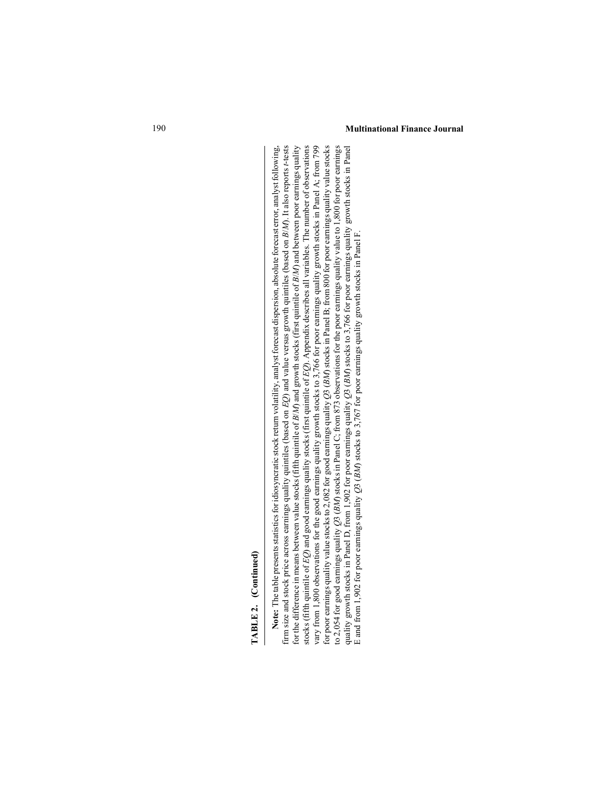**TABLE 2.** (Continued)<br>
Note: The table presents statistics for idiosyncratic stock return volatility, analyst forecast dispersion, absolute forceast error, analyst following,<br>
firm size and scole presents statistics for

#### 190 **Multinational Finance Journal**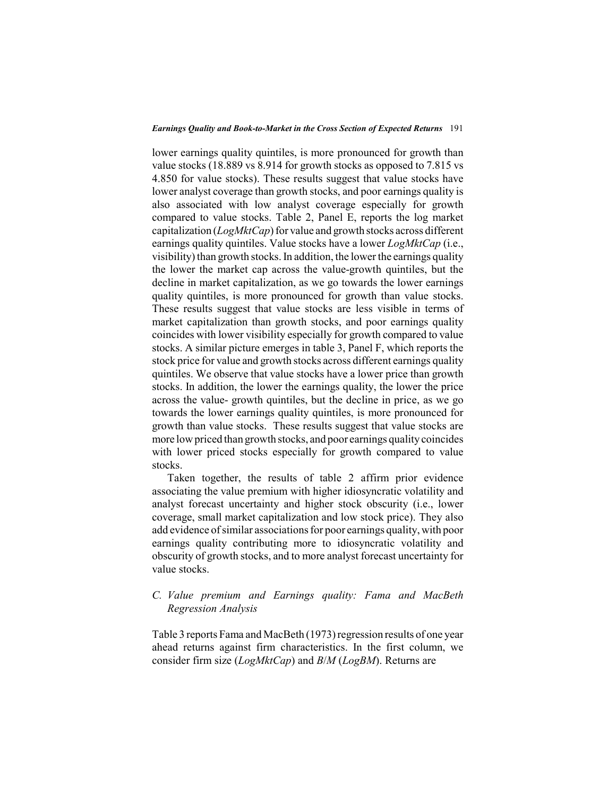#### *Earnings Quality and Book-to-Market in the Cross Section of Expected Returns* 191

lower earnings quality quintiles, is more pronounced for growth than value stocks (18.889 vs 8.914 for growth stocks as opposed to 7.815 vs 4.850 for value stocks). These results suggest that value stocks have lower analyst coverage than growth stocks, and poor earnings quality is also associated with low analyst coverage especially for growth compared to value stocks. Table 2, Panel E, reports the log market capitalization (*LogMktCap*) for value and growth stocks across different earnings quality quintiles. Value stocks have a lower *LogMktCap* (i.e., visibility) than growth stocks. In addition, the lower the earnings quality the lower the market cap across the value-growth quintiles, but the decline in market capitalization, as we go towards the lower earnings quality quintiles, is more pronounced for growth than value stocks. These results suggest that value stocks are less visible in terms of market capitalization than growth stocks, and poor earnings quality coincides with lower visibility especially for growth compared to value stocks. A similar picture emerges in table 3, Panel F, which reports the stock price for value and growth stocks across different earnings quality quintiles. We observe that value stocks have a lower price than growth stocks. In addition, the lower the earnings quality, the lower the price across the value- growth quintiles, but the decline in price, as we go towards the lower earnings quality quintiles, is more pronounced for growth than value stocks. These results suggest that value stocks are more low priced than growth stocks, and poor earnings quality coincides with lower priced stocks especially for growth compared to value stocks.

Taken together, the results of table 2 affirm prior evidence associating the value premium with higher idiosyncratic volatility and analyst forecast uncertainty and higher stock obscurity (i.e., lower coverage, small market capitalization and low stock price). They also add evidence of similar associations for poor earnings quality, with poor earnings quality contributing more to idiosyncratic volatility and obscurity of growth stocks, and to more analyst forecast uncertainty for value stocks.

## *C. Value premium and Earnings quality: Fama and MacBeth Regression Analysis*

Table 3 reports Fama and MacBeth (1973) regression results of one year ahead returns against firm characteristics. In the first column, we consider firm size (*LogMktCap*) and *B*/*M* (*LogBM*). Returns are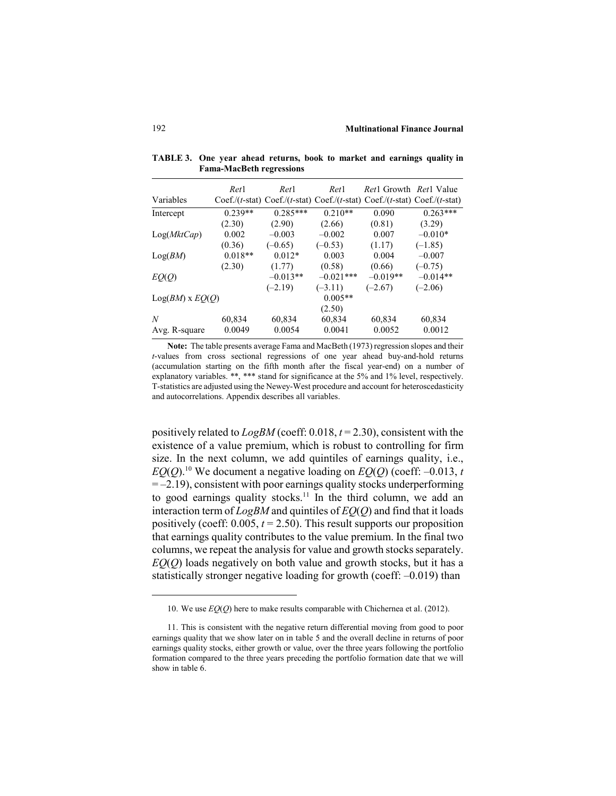|                        | Ret1      | Ret <sub>1</sub> | Ret <sub>1</sub> | <i>Ret</i> 1 Growth <i>Ret</i> 1 Value                                  |            |
|------------------------|-----------|------------------|------------------|-------------------------------------------------------------------------|------------|
| Variables              |           |                  |                  | $Coef/(t-stat) Coef/(t-stat) Coef/(t-stat) Coef/(t-stat) Coef/(t-stat)$ |            |
| Intercept              | $0.239**$ | $0.285***$       | $0.210**$        | 0.090                                                                   | $0.263***$ |
|                        | (2.30)    | (2.90)           | (2.66)           | (0.81)                                                                  | (3.29)     |
| Log(MktCap)            | 0.002     | $-0.003$         | $-0.002$         | 0.007                                                                   | $-0.010*$  |
|                        | (0.36)    | $(-0.65)$        | $(-0.53)$        | (1.17)                                                                  | $(-1.85)$  |
| Log(BM)                | $0.018**$ | $0.012*$         | 0.003            | 0.004                                                                   | $-0.007$   |
|                        | (2.30)    | (1.77)           | (0.58)           | (0.66)                                                                  | $(-0.75)$  |
| EQ(Q)                  |           | $-0.013**$       | $-0.021***$      | $-0.019**$                                                              | $-0.014**$ |
|                        |           | $(-2.19)$        | $(-3.11)$        | $(-2.67)$                                                               | $(-2.06)$  |
| $Log(BM) \times EO(O)$ |           |                  | $0.005**$        |                                                                         |            |
|                        |           |                  | (2.50)           |                                                                         |            |
| N                      | 60,834    | 60,834           | 60,834           | 60,834                                                                  | 60,834     |
| Avg. R-square          | 0.0049    | 0.0054           | 0.0041           | 0.0052                                                                  | 0.0012     |

**TABLE 3. One year ahead returns, book to market and earnings quality in Fama-MacBeth regressions**

**Note:** The table presents average Fama and MacBeth (1973) regression slopes and their *t*-values from cross sectional regressions of one year ahead buy-and-hold returns (accumulation starting on the fifth month after the fiscal year-end) on a number of explanatory variables. \*\*, \*\*\* stand for significance at the 5% and 1% level, respectively. T-statistics are adjusted using the Newey-West procedure and account for heteroscedasticity and autocorrelations. Appendix describes all variables.

positively related to *LogBM* (coeff: 0.018, *t* = 2.30), consistent with the existence of a value premium, which is robust to controlling for firm size. In the next column, we add quintiles of earnings quality, i.e.,  $EO(O)$ <sup>10</sup>. We document a negative loading on  $EO(O)$  (coeff: –0.013, *t*  $= -2.19$ ), consistent with poor earnings quality stocks underperforming to good earnings quality stocks.<sup>11</sup> In the third column, we add an interaction term of *LogBM* and quintiles of *EQ*(*Q*) and find that it loads positively (coeff:  $0.005$ ,  $t = 2.50$ ). This result supports our proposition that earnings quality contributes to the value premium. In the final two columns, we repeat the analysis for value and growth stocks separately. *EQ*(*Q*) loads negatively on both value and growth stocks, but it has a statistically stronger negative loading for growth (coeff: –0.019) than

<sup>10.</sup> We use *EQ*(*Q*) here to make results comparable with Chichernea et al. (2012).

<sup>11.</sup> This is consistent with the negative return differential moving from good to poor earnings quality that we show later on in table 5 and the overall decline in returns of poor earnings quality stocks, either growth or value, over the three years following the portfolio formation compared to the three years preceding the portfolio formation date that we will show in table 6.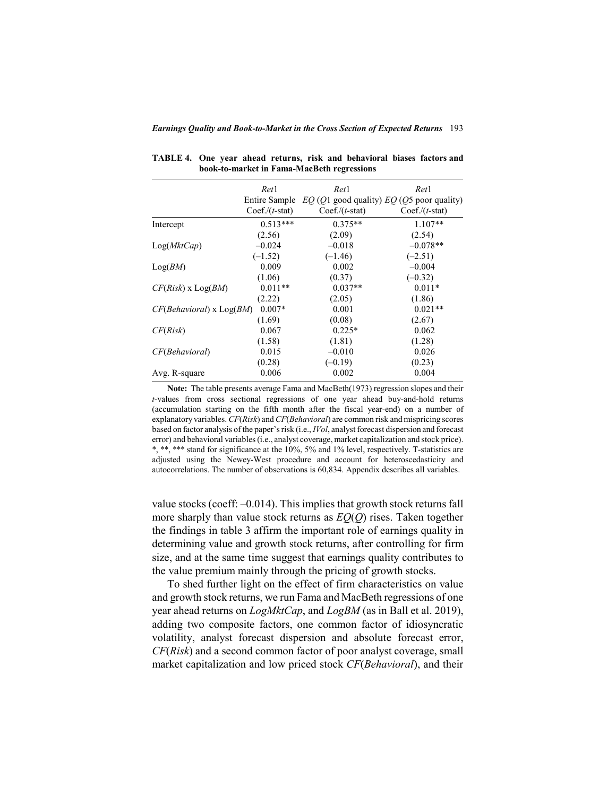|                              | Ret1             | Ret1                                                        | Ret1             |
|------------------------------|------------------|-------------------------------------------------------------|------------------|
|                              |                  | Entire Sample $EQ$ (Q1 good quality) $EQ$ (Q5 poor quality) |                  |
|                              | $Coef./(t-stat)$ | $Coef./(t-stat)$                                            | $Coef./(t-stat)$ |
| Intercept                    | $0.513***$       | $0.375**$                                                   | $1.107**$        |
|                              | (2.56)           | (2.09)                                                      | (2.54)           |
| Log(MktCap)                  | $-0.024$         | $-0.018$                                                    | $-0.078**$       |
|                              | $(-1.52)$        | $(-1.46)$                                                   | $(-2.51)$        |
| Log(BM)                      | 0.009            | 0.002                                                       | $-0.004$         |
|                              | (1.06)           | (0.37)                                                      | $(-0.32)$        |
| $CF(Risk)$ x $Log(BM)$       | $0.011**$        | $0.037**$                                                   | $0.011*$         |
|                              | (2.22)           | (2.05)                                                      | (1.86)           |
| $CF(Behavioral)$ x $Log(BM)$ | $0.007*$         | 0.001                                                       | $0.021**$        |
|                              | (1.69)           | (0.08)                                                      | (2.67)           |
| CF(Risk)                     | 0.067            | $0.225*$                                                    | 0.062            |
|                              | (1.58)           | (1.81)                                                      | (1.28)           |
| CF(Behavioral)               | 0.015            | $-0.010$                                                    | 0.026            |
|                              | (0.28)           | $(-0.19)$                                                   | (0.23)           |
| Avg. R-square                | 0.006            | 0.002                                                       | 0.004            |
|                              |                  |                                                             |                  |

**TABLE 4. One year ahead returns, risk and behavioral biases factors and book-to-market in Fama-MacBeth regressions**

**Note:** The table presents average Fama and MacBeth(1973) regression slopes and their *t*-values from cross sectional regressions of one year ahead buy-and-hold returns (accumulation starting on the fifth month after the fiscal year-end) on a number of explanatory variables. *CF*(*Risk*) and *CF*(*Behavioral*) are common risk and mispricing scores based on factor analysis of the paper's risk (i.e., *IVol*, analyst forecast dispersion and forecast error) and behavioral variables (i.e., analyst coverage, market capitalization and stock price). \*, \*\*, \*\*\* stand for significance at the 10%, 5% and 1% level, respectively. T-statistics are adjusted using the Newey-West procedure and account for heteroscedasticity and autocorrelations. The number of observations is 60,834. Appendix describes all variables.

value stocks (coeff: –0.014). This implies that growth stock returns fall more sharply than value stock returns as *EQ*(*Q*) rises. Taken together the findings in table 3 affirm the important role of earnings quality in determining value and growth stock returns, after controlling for firm size, and at the same time suggest that earnings quality contributes to the value premium mainly through the pricing of growth stocks.

To shed further light on the effect of firm characteristics on value and growth stock returns, we run Fama and MacBeth regressions of one year ahead returns on *LogMktCap*, and *LogBM* (as in Ball et al. 2019), adding two composite factors, one common factor of idiosyncratic volatility, analyst forecast dispersion and absolute forecast error, *CF*(*Risk*) and a second common factor of poor analyst coverage, small market capitalization and low priced stock *CF*(*Behavioral*), and their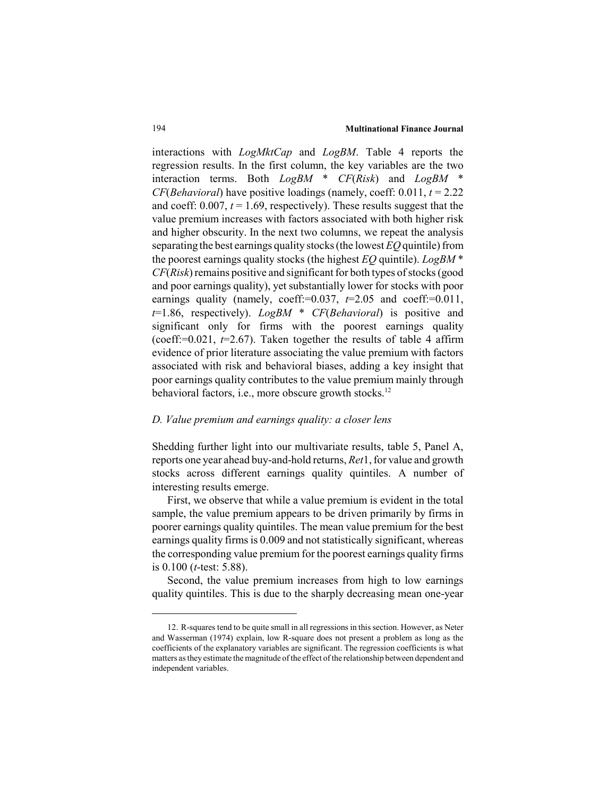interactions with *LogMktCap* and *LogBM*. Table 4 reports the regression results. In the first column, the key variables are the two interaction terms. Both *LogBM* \* *CF*(*Risk*) and *LogBM* \* *CF*(*Behavioral*) have positive loadings (namely, coeff: 0.011, *t* = 2.22 and coeff:  $0.007$ ,  $t = 1.69$ , respectively). These results suggest that the value premium increases with factors associated with both higher risk and higher obscurity. In the next two columns, we repeat the analysis separating the best earnings quality stocks (the lowest *EQ* quintile) from the poorest earnings quality stocks (the highest *EQ* quintile). *LogBM* \* *CF*(*Risk*) remains positive and significant for both types of stocks (good and poor earnings quality), yet substantially lower for stocks with poor earnings quality (namely, coeff:=0.037, *t*=2.05 and coeff:=0.011, *t*=1.86, respectively). *LogBM* \* *CF*(*Behavioral*) is positive and significant only for firms with the poorest earnings quality (coeff:= $0.021$ ,  $t=2.67$ ). Taken together the results of table 4 affirm evidence of prior literature associating the value premium with factors associated with risk and behavioral biases, adding a key insight that poor earnings quality contributes to the value premium mainly through behavioral factors, i.e., more obscure growth stocks.<sup>12</sup>

## *D. Value premium and earnings quality: a closer lens*

Shedding further light into our multivariate results, table 5, Panel A, reports one year ahead buy-and-hold returns, *Ret*1, for value and growth stocks across different earnings quality quintiles. A number of interesting results emerge.

First, we observe that while a value premium is evident in the total sample, the value premium appears to be driven primarily by firms in poorer earnings quality quintiles. The mean value premium for the best earnings quality firms is 0.009 and not statistically significant, whereas the corresponding value premium for the poorest earnings quality firms is 0.100 (*t*-test: 5.88).

Second, the value premium increases from high to low earnings quality quintiles. This is due to the sharply decreasing mean one-year

<sup>12.</sup> R-squares tend to be quite small in all regressions in this section. However, as Neter and Wasserman (1974) explain, low R-square does not present a problem as long as the coefficients of the explanatory variables are significant. The regression coefficients is what matters as they estimate the magnitude of the effect of the relationship between dependent and independent variables.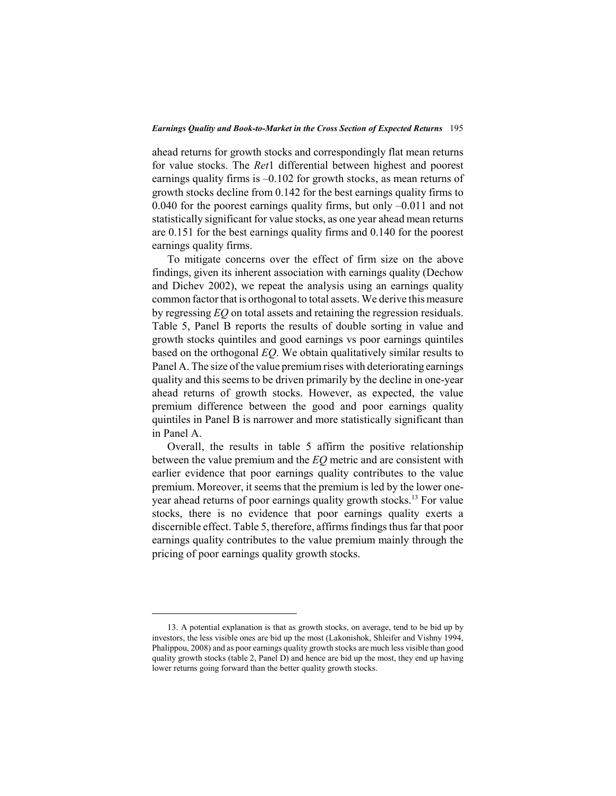ahead returns for growth stocks and correspondingly flat mean returns for value stocks. The *Ret*1 differential between highest and poorest earnings quality firms is  $-0.102$  for growth stocks, as mean returns of growth stocks decline from 0.142 for the best earnings quality firms to 0.040 for the poorest earnings quality firms, but only –0.011 and not statistically significant for value stocks, as one year ahead mean returns are 0.151 for the best earnings quality firms and 0.140 for the poorest earnings quality firms.

To mitigate concerns over the effect of firm size on the above findings, given its inherent association with earnings quality (Dechow and Dichev 2002), we repeat the analysis using an earnings quality common factor that is orthogonal to total assets. We derive this measure by regressing *EQ* on total assets and retaining the regression residuals. Table 5, Panel B reports the results of double sorting in value and growth stocks quintiles and good earnings vs poor earnings quintiles based on the orthogonal *EQ*. We obtain qualitatively similar results to Panel A. The size of the value premium rises with deteriorating earnings quality and this seems to be driven primarily by the decline in one-year ahead returns of growth stocks. However, as expected, the value premium difference between the good and poor earnings quality quintiles in Panel B is narrower and more statistically significant than in Panel A.

Overall, the results in table 5 affirm the positive relationship between the value premium and the *EQ* metric and are consistent with earlier evidence that poor earnings quality contributes to the value premium. Moreover, it seems that the premium is led by the lower oneyear ahead returns of poor earnings quality growth stocks.<sup>13</sup> For value stocks, there is no evidence that poor earnings quality exerts a discernible effect. Table 5, therefore, affirms findings thus far that poor earnings quality contributes to the value premium mainly through the pricing of poor earnings quality growth stocks.

<sup>13.</sup> A potential explanation is that as growth stocks, on average, tend to be bid up by investors, the less visible ones are bid up the most (Lakonishok, Shleifer and Vishny 1994, Phalippou, 2008) and as poor earnings quality growth stocks are much less visible than good quality growth stocks (table 2, Panel D) and hence are bid up the most, they end up having lower returns going forward than the better quality growth stocks.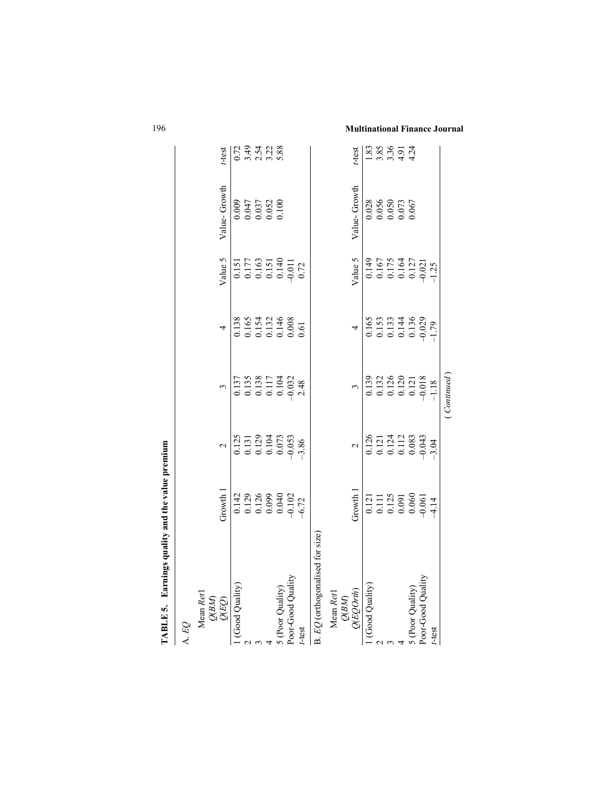| TABLE 5. Earnings quality and the value premium          |                                                                                                    |                                                                                             |                                                                                              |                                                                                                               |                                                                                                     |                                                                          |                              |
|----------------------------------------------------------|----------------------------------------------------------------------------------------------------|---------------------------------------------------------------------------------------------|----------------------------------------------------------------------------------------------|---------------------------------------------------------------------------------------------------------------|-----------------------------------------------------------------------------------------------------|--------------------------------------------------------------------------|------------------------------|
| A.EQ                                                     |                                                                                                    |                                                                                             |                                                                                              |                                                                                                               |                                                                                                     |                                                                          |                              |
| $\frac{Mean \; Ret1}{\mathcal{Q}(BM)}\\ \mathcal{Q}(EQ)$ | Growth                                                                                             | $\mathbf{\sim}$                                                                             |                                                                                              | 4                                                                                                             | Value 5                                                                                             | Value-Growth                                                             | t-test                       |
| 1 (Good Quality)                                         | $\begin{array}{c} 0.142 \\ 0.129 \\ 0.126 \\ 0.099 \\ 0.040 \\ 0.042 \\ -6.72 \end{array}$         |                                                                                             |                                                                                              | 0.138<br>0.165<br>0.154<br>0.132<br>0.008<br>0.00                                                             |                                                                                                     |                                                                          |                              |
|                                                          |                                                                                                    |                                                                                             |                                                                                              |                                                                                                               |                                                                                                     |                                                                          |                              |
|                                                          |                                                                                                    |                                                                                             |                                                                                              |                                                                                                               |                                                                                                     | $0.009$<br>$0.047$<br>$0.037$<br>$0.052$<br>$0.052$                      | $2.38$<br>$2.4728$<br>$2.58$ |
|                                                          |                                                                                                    |                                                                                             |                                                                                              |                                                                                                               |                                                                                                     |                                                                          |                              |
|                                                          |                                                                                                    |                                                                                             |                                                                                              |                                                                                                               |                                                                                                     |                                                                          |                              |
| 5 (Poor Quality)<br>Poor-Good Quality                    |                                                                                                    |                                                                                             |                                                                                              |                                                                                                               |                                                                                                     |                                                                          |                              |
| t-test                                                   |                                                                                                    | $\begin{array}{c} 0.125 \\ 0.131 \\ 0.129 \\ 0.104 \\ 0.073 \\ 0.073 \\ -9.86 \end{array}$  |                                                                                              |                                                                                                               | $\begin{array}{c} 0.151 \\ 0.177 \\ 0.163 \\ 0.151 \\ 0.140 \\ 0.140 \\ 0.0140 \\ 0.72 \end{array}$ |                                                                          |                              |
| B. EQ (orthogonalised for size)                          |                                                                                                    |                                                                                             |                                                                                              |                                                                                                               |                                                                                                     |                                                                          |                              |
| Mean Ret1<br>$Q(BM)$<br>$Q(EQOrth)$                      |                                                                                                    |                                                                                             |                                                                                              |                                                                                                               |                                                                                                     |                                                                          |                              |
|                                                          | Growth 1                                                                                           | $\sim$                                                                                      |                                                                                              |                                                                                                               | Value 5                                                                                             | Value-Growth                                                             | $t$ -test                    |
| 1 (Good Quality)                                         |                                                                                                    |                                                                                             | $\begin{array}{c} 0.139 \\ 0.132 \\ 0.126 \\ 0.120 \\ 0.121 \\ 0.0121 \\ -0.018 \end{array}$ | $\begin{array}{c c}\n4 \\ \hline\n0.165 \\ 0.133 \\ 0.134 \\ 0.136 \\ 0.0144 \\ 0.029 \\ \hline\n\end{array}$ |                                                                                                     |                                                                          |                              |
|                                                          |                                                                                                    |                                                                                             |                                                                                              |                                                                                                               |                                                                                                     |                                                                          |                              |
|                                                          |                                                                                                    |                                                                                             |                                                                                              |                                                                                                               |                                                                                                     | $\begin{array}{c} 0.028 \\ 0.056 \\ 0.050 \\ 0.073 \\ 0.073 \end{array}$ | $3.89974$<br>$-0.89974$      |
|                                                          |                                                                                                    |                                                                                             |                                                                                              |                                                                                                               |                                                                                                     |                                                                          |                              |
|                                                          |                                                                                                    |                                                                                             |                                                                                              |                                                                                                               |                                                                                                     |                                                                          |                              |
| 5 (Poor Quality)<br>Poor-Good Quality                    | $\begin{array}{c} 0.121 \\ 0.111 \\ 0.125 \\ 0.091 \\ 0.060 \\ 0.061 \\ 0.061 \\ 4.14 \end{array}$ | $\begin{array}{c} 0.126 \\ 0.121 \\ 0.124 \\ 0.112 \\ 0.083 \\ 0.043 \\ \hline \end{array}$ |                                                                                              |                                                                                                               | $\begin{array}{c} 0.149 \\ 0.167 \\ 0.175 \\ 0.137 \\ 0.127 \\ 0.021 \\ -1.25 \end{array}$          |                                                                          |                              |
| t-test                                                   |                                                                                                    |                                                                                             |                                                                                              |                                                                                                               |                                                                                                     |                                                                          |                              |
|                                                          |                                                                                                    |                                                                                             | Continued                                                                                    |                                                                                                               |                                                                                                     |                                                                          |                              |
|                                                          |                                                                                                    |                                                                                             |                                                                                              |                                                                                                               |                                                                                                     |                                                                          |                              |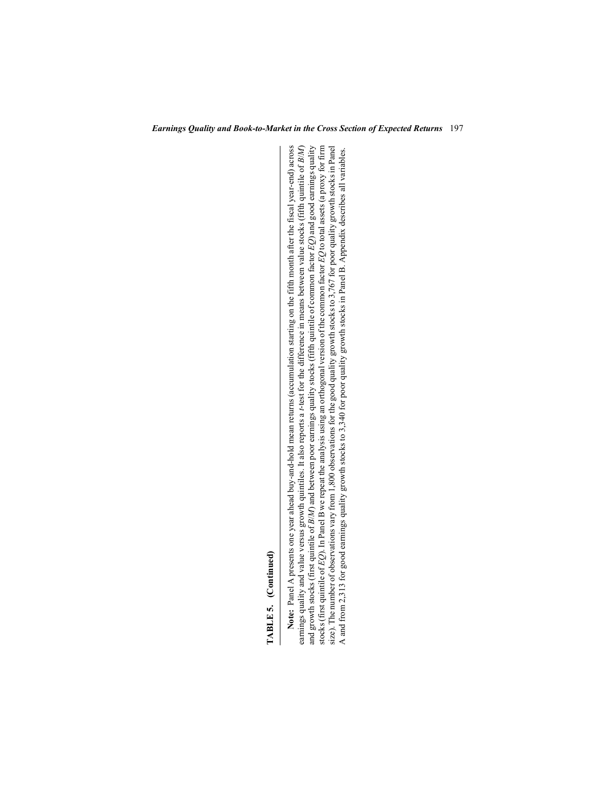TABLE 5. (Continued)

Note: Panel A presents one year ahead buy-and-hold mean returns (accumulation starting on the fifth month after the fiscal year-end) across earnings quality and value versus growth quintiles. It also reports a *t*-test for the difference in means between value stocks (fifth quintile of *B/M*) and growth stocks (first quintile of *B/M*) and between poor earnin TABLE 5. (Continued)<br>Note: Panel A presents one year ahead buy-and-hold mean returns (accumulation starting on the fifth month after the fiscal year-end) across<br>Note: Panel A presents one year ahead buy-and-hold mean retur *B*/*M*) and between poor earnings quality stocks (fifth quintile of common factor *EQ*) and good earnings quality stocks (first quintile of *EQ*). In Panel B we repeat the analysis using an orthogonal version of the common factor *EQ* to total assets (a proxy for firm size). The number of observations vary from 1,800 observations for the good quality growth stocks to 3,767 for poor quality growth stocks in Panel A and from 2,313 for good earnings quality growth stocks to 3,340 for poor quality growth stocks in Panel B. Appendix describes all variables. A and from 2,313 for good earnings quality growth stocks to 3,340 for poor quality growth stocks in Panel B. Appendix describes all variables.and growth stocks (first quintile of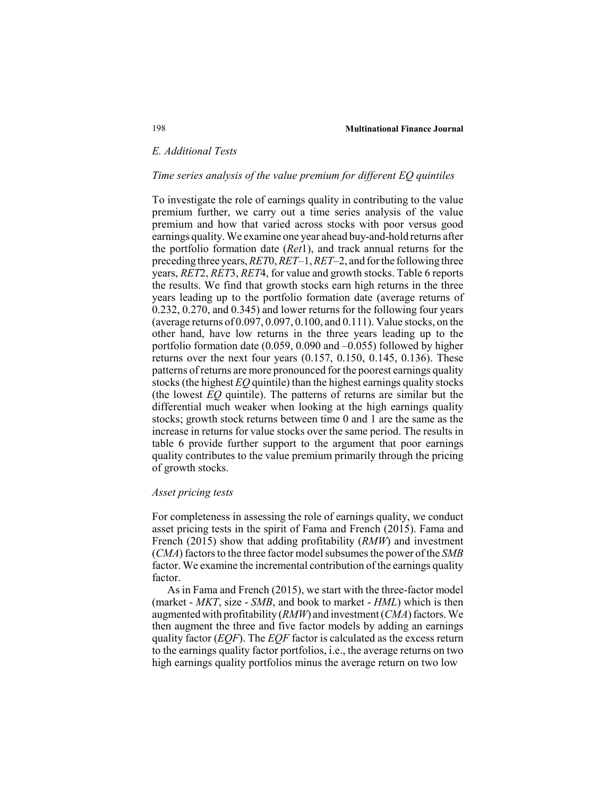## *E. Additional Tests*

### *Time series analysis of the value premium for different EQ quintiles*

To investigate the role of earnings quality in contributing to the value premium further, we carry out a time series analysis of the value premium and how that varied across stocks with poor versus good earnings quality. We examine one year ahead buy-and-hold returns after the portfolio formation date (*Ret*1), and track annual returns for the preceding three years, *RET*0, *RET*–1, *RET*–2, and for the following three years, *RET*2, *RET*3, *RET*4, for value and growth stocks. Table 6 reports the results. We find that growth stocks earn high returns in the three years leading up to the portfolio formation date (average returns of 0.232, 0.270, and 0.345) and lower returns for the following four years (average returns of 0.097, 0.097, 0.100, and 0.111). Value stocks, on the other hand, have low returns in the three years leading up to the portfolio formation date (0.059, 0.090 and –0.055) followed by higher returns over the next four years (0.157, 0.150, 0.145, 0.136). These patterns of returns are more pronounced for the poorest earnings quality stocks (the highest *EQ* quintile) than the highest earnings quality stocks (the lowest *EQ* quintile). The patterns of returns are similar but the differential much weaker when looking at the high earnings quality stocks; growth stock returns between time 0 and 1 are the same as the increase in returns for value stocks over the same period. The results in table 6 provide further support to the argument that poor earnings quality contributes to the value premium primarily through the pricing of growth stocks.

#### *Asset pricing tests*

For completeness in assessing the role of earnings quality, we conduct asset pricing tests in the spirit of Fama and French (2015). Fama and French (2015) show that adding profitability (*RMW*) and investment (*CMA*) factors to the three factor model subsumes the power of the *SMB* factor. We examine the incremental contribution of the earnings quality factor.

As in Fama and French (2015), we start with the three-factor model (market - *MKT*, size - *SMB*, and book to market - *HML*) which is then augmented with profitability (*RMW*) and investment (*CMA*) factors. We then augment the three and five factor models by adding an earnings quality factor (*EQF*). The *EQF* factor is calculated as the excess return to the earnings quality factor portfolios, i.e., the average returns on two high earnings quality portfolios minus the average return on two low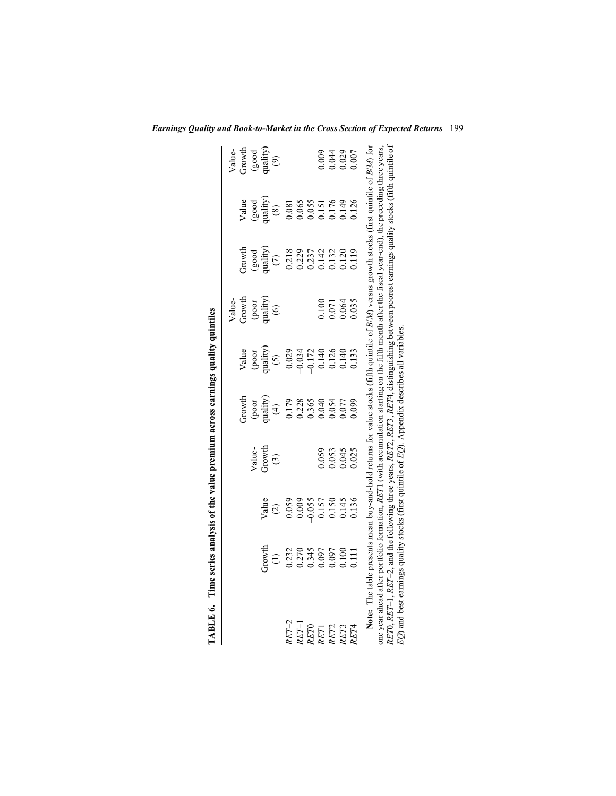|                  | TABLE 6. Time series analysis of the value premium across earnings quality quintiles                                                                                                                                                                                                                     |                                                                                             |                         |                                                                              |                                                                                                 |                                                                              |                                                                             |                                                                                                  |                                                   |
|------------------|----------------------------------------------------------------------------------------------------------------------------------------------------------------------------------------------------------------------------------------------------------------------------------------------------------|---------------------------------------------------------------------------------------------|-------------------------|------------------------------------------------------------------------------|-------------------------------------------------------------------------------------------------|------------------------------------------------------------------------------|-----------------------------------------------------------------------------|--------------------------------------------------------------------------------------------------|---------------------------------------------------|
|                  |                                                                                                                                                                                                                                                                                                          |                                                                                             |                         |                                                                              |                                                                                                 |                                                                              |                                                                             |                                                                                                  |                                                   |
|                  |                                                                                                                                                                                                                                                                                                          |                                                                                             |                         | Growth                                                                       |                                                                                                 | Value-<br>Growth                                                             | Growth                                                                      |                                                                                                  |                                                   |
|                  |                                                                                                                                                                                                                                                                                                          |                                                                                             |                         |                                                                              |                                                                                                 | $\begin{array}{c} \text{(poor} \\ \text{quality)} \\ \text{(6)} \end{array}$ | $\begin{array}{l} \left( \text{good} \right) \\ \text{quality} \end{array}$ |                                                                                                  |                                                   |
|                  | Growth                                                                                                                                                                                                                                                                                                   | Value                                                                                       | Value-<br>Growth        |                                                                              |                                                                                                 |                                                                              |                                                                             |                                                                                                  |                                                   |
|                  | $\bigoplus$                                                                                                                                                                                                                                                                                              | $\widehat{c}$                                                                               | $\odot$                 | $\begin{array}{c} \text{(poor} \\ \text{quality)} \\ \text{(4)} \end{array}$ | Value<br>(poor<br>quality)<br>(5)                                                               |                                                                              |                                                                             | $\begin{array}{c} \text{Value}\\ \text{(good}\\ \text{quality)}\\ \text{quality)}\\ \end{array}$ | $V$ alue-<br>Growth<br>(good<br>quality)<br>$(9)$ |
| $RET-2$          |                                                                                                                                                                                                                                                                                                          |                                                                                             |                         | 0.179<br>0.228<br>0.365<br>0.040<br>0.054<br>0.077                           | $\begin{array}{c} 0.029 \\ -0.034 \\ -0.172 \\ 0.140 \\ 0.140 \\ 0.140 \\ 0.140 \\ \end{array}$ |                                                                              |                                                                             | 0.081<br>0.065<br>0.05176<br>0.176<br>0.126                                                      |                                                   |
| $RET-1$          |                                                                                                                                                                                                                                                                                                          |                                                                                             |                         |                                                                              |                                                                                                 |                                                                              |                                                                             |                                                                                                  |                                                   |
| RET <sub>0</sub> |                                                                                                                                                                                                                                                                                                          |                                                                                             |                         |                                                                              |                                                                                                 |                                                                              |                                                                             |                                                                                                  |                                                   |
| RET              |                                                                                                                                                                                                                                                                                                          |                                                                                             | 0.059                   |                                                                              |                                                                                                 |                                                                              |                                                                             |                                                                                                  |                                                   |
|                  | 0.232<br>0.270<br>0.345<br>0.097<br>0.100<br>0.111                                                                                                                                                                                                                                                       | $\begin{array}{c} 0.059 \\ 0.0009 \\ 0.055 \\ 0.157 \\ 0.150 \\ 0.150 \\ 0.145 \end{array}$ |                         |                                                                              |                                                                                                 | 0.071<br>0.064<br>0.064                                                      | 0.218<br>0.229<br>0.142<br>0.132<br>0.120                                   |                                                                                                  |                                                   |
| RET2<br>RET3     |                                                                                                                                                                                                                                                                                                          |                                                                                             | 0.053<br>0.045<br>0.025 |                                                                              |                                                                                                 |                                                                              |                                                                             |                                                                                                  |                                                   |
| RET4             |                                                                                                                                                                                                                                                                                                          | 0.136                                                                                       |                         | 0.099                                                                        | 0.133                                                                                           |                                                                              | 119                                                                         |                                                                                                  |                                                   |
|                  | Note: The table presents mean buy-and-hold returns for value stocks (fifth quintile of $B/M$ ) versus growth stocks (first quintile of $B/M$ ) for                                                                                                                                                       |                                                                                             |                         |                                                                              |                                                                                                 |                                                                              |                                                                             |                                                                                                  |                                                   |
|                  | one year ahead after portfolio formation, $RETI$ (with accumulation starting on the fifth month after the fiscal year-end), the preceding three years,<br>RETO, RET-1, RET-2, and the following three years, RET2, RET3, RET4, distinguishing between poorest earnings quality stocks (fifth quintile of |                                                                                             |                         |                                                                              |                                                                                                 |                                                                              |                                                                             |                                                                                                  |                                                   |
|                  | $EQ$ ) and best earnings quality stocks (first quintile of $EQ$ ). Appendix describes all variables                                                                                                                                                                                                      |                                                                                             |                         |                                                                              |                                                                                                 |                                                                              |                                                                             |                                                                                                  |                                                   |

|                                                                                                                                                  | <br> <br> <br> <br> <br>                                                                                                                       | )<br>; | )<br>}<br>} | ,,,, | י<br>י | י<br>גיאו | .<br>.<br>.<br>. | )<br>;<br>; | $\frac{5}{2}$ |
|--------------------------------------------------------------------------------------------------------------------------------------------------|------------------------------------------------------------------------------------------------------------------------------------------------|--------|-------------|------|--------|-----------|------------------|-------------|---------------|
|                                                                                                                                                  | Note: The table presents mean buy-and-hold returns for value stocks (fifth quintile of $B/M$ ) versus growth stocks (first quintile of $B/M$ ) |        |             |      |        |           |                  |             |               |
| one year ahead after portfolio formation, RETI (with accumulation starting on the fifth month after the fiscal year-end), the preceding three ye |                                                                                                                                                |        |             |      |        |           |                  |             |               |
| RETO, RET-1, RET-2, and the following three years, RET2, RET3, RET4, distinguishing between poorest earnings quality stocks (fifth quintil       |                                                                                                                                                |        |             |      |        |           |                  |             |               |
| $EQ$ ) and best earnings quality stocks (first quintile of EQ). Appendix describes all variables.                                                |                                                                                                                                                |        |             |      |        |           |                  |             |               |
|                                                                                                                                                  |                                                                                                                                                |        |             |      |        |           |                  |             |               |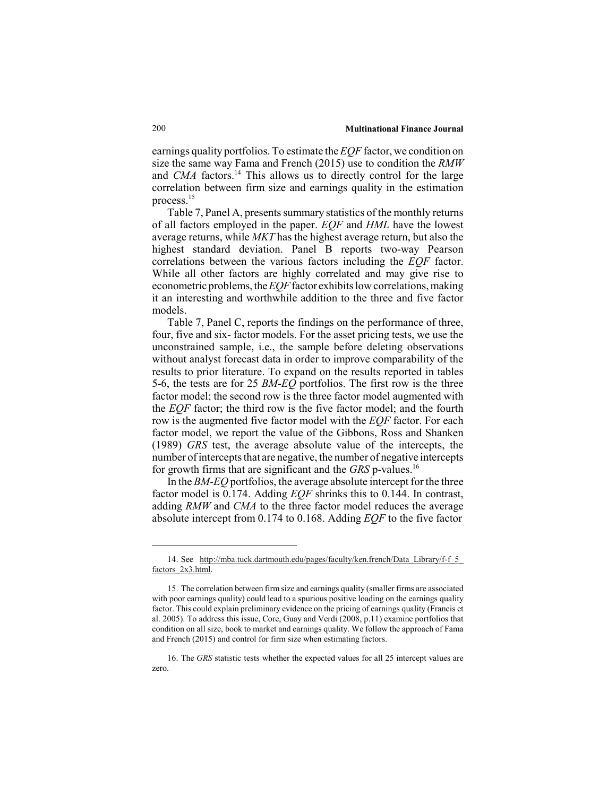earnings quality portfolios. To estimate the *EQF* factor, we condition on size the same way Fama and French (2015) use to condition the *RMW* and *CMA* factors.<sup>14</sup> This allows us to directly control for the large correlation between firm size and earnings quality in the estimation process.15

Table 7, Panel A, presents summary statistics of the monthly returns of all factors employed in the paper. *EQF* and *HML* have the lowest average returns, while *MKT* has the highest average return, but also the highest standard deviation. Panel B reports two-way Pearson correlations between the various factors including the *EQF* factor. While all other factors are highly correlated and may give rise to econometric problems, the *EQF* factor exhibits low correlations, making it an interesting and worthwhile addition to the three and five factor models.

Table 7, Panel C, reports the findings on the performance of three, four, five and six- factor models. For the asset pricing tests, we use the unconstrained sample, i.e., the sample before deleting observations without analyst forecast data in order to improve comparability of the results to prior literature. To expand on the results reported in tables 5-6, the tests are for 25 *BM*-*EQ* portfolios. The first row is the three factor model; the second row is the three factor model augmented with the *EQF* factor; the third row is the five factor model; and the fourth row is the augmented five factor model with the *EQF* factor. For each factor model, we report the value of the Gibbons, Ross and Shanken (1989) *GRS* test, the average absolute value of the intercepts, the number of intercepts that are negative, the number of negative intercepts for growth firms that are significant and the *GRS* p-values.16

In the *BM*-*EQ* portfolios, the average absolute intercept for the three factor model is 0.174. Adding *EQF* shrinks this to 0.144. In contrast, adding *RMW* and *CMA* to the three factor model reduces the average absolute intercept from 0.174 to 0.168. Adding *EQF* to the five factor

<sup>14.</sup> See http://mba.tuck.dartmouth.edu/pages/faculty/ken.french/Data\_Library/f-f\_5 factors 2x3.html.

<sup>15.</sup> The correlation between firm size and earnings quality (smaller firms are associated with poor earnings quality) could lead to a spurious positive loading on the earnings quality factor. This could explain preliminary evidence on the pricing of earnings quality (Francis et al. 2005). To address this issue, Core, Guay and Verdi (2008, p.11) examine portfolios that condition on all size, book to market and earnings quality. We follow the approach of Fama and French (2015) and control for firm size when estimating factors.

<sup>16.</sup> The *GRS* statistic tests whether the expected values for all 25 intercept values are zero.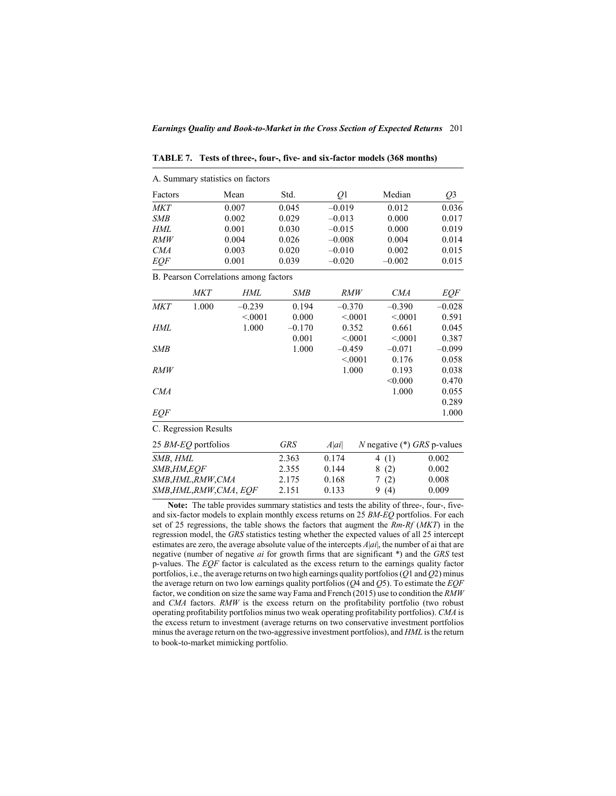|              |                       | A. Summary statistics on factors      |            |            |         |            |                               |
|--------------|-----------------------|---------------------------------------|------------|------------|---------|------------|-------------------------------|
| Factors      |                       | Mean                                  | Std.       | Q1         |         | Median     | Q <sub>3</sub>                |
| <b>MKT</b>   |                       | 0.007                                 | 0.045      | $-0.019$   |         | 0.012      | 0.036                         |
| SMB          |                       | 0.002                                 | 0.029      | $-0.013$   |         | 0.000      | 0.017                         |
| HML          |                       | 0.001                                 | 0.030      | $-0.015$   |         | 0.000      | 0.019                         |
| RMW          |                       | 0.004                                 | 0.026      | $-0.008$   |         | 0.004      | 0.014                         |
| <i>CMA</i>   |                       | 0.003                                 | 0.020      | $-0.010$   |         | 0.002      | 0.015                         |
| EQF          |                       | 0.001                                 | 0.039      | $-0.020$   |         | $-0.002$   | 0.015                         |
|              |                       | B. Pearson Correlations among factors |            |            |         |            |                               |
|              | <i>MKT</i>            | HML                                   | <b>SMB</b> | <i>RMW</i> |         | <i>CMA</i> | <b>EQF</b>                    |
| <b>MKT</b>   | 1.000                 | $-0.239$                              | 0.194      | $-0.370$   |         | $-0.390$   | $-0.028$                      |
|              |                       | < 0.001                               | 0.000      | < 0.001    |         | < 0.001    | 0.591                         |
| HML          |                       | 1.000                                 | $-0.170$   | 0.352      |         | 0.661      | 0.045                         |
|              |                       |                                       | 0.001      | < 0.001    |         | < 0.001    | 0.387                         |
| SMB          |                       |                                       | 1.000      | $-0.459$   |         | $-0.071$   | $-0.099$                      |
|              |                       |                                       |            | < 0.001    |         | 0.176      | 0.058                         |
| RMW          |                       |                                       |            | 1.000      |         | 0.193      | 0.038                         |
|              |                       |                                       |            |            |         | < 0.000    | 0.470                         |
| <i>CMA</i>   |                       |                                       |            |            |         | 1.000      | 0.055                         |
|              |                       |                                       |            |            |         |            | 0.289                         |
| EQF          |                       |                                       |            |            |         |            | 1.000                         |
|              | C. Regression Results |                                       |            |            |         |            |                               |
|              | 25 BM-EQ portfolios   |                                       | <b>GRS</b> | A ai       |         |            | N negative $(*)$ GRS p-values |
| SMB, HML     |                       |                                       | 2.363      | 0.174      | 4 $(1)$ |            | 0.002                         |
| SMB, HM, EQF |                       |                                       | 2.355      | 0.144      | 8       | (2)        | 0.002                         |

**TABLE 7. Tests of three-, four-, five- and six-factor models (368 months)**

 $A$ . Summary statistics on  $f_{\text{c}}$  at  $\ldots$ 

**Note:** The table provides summary statistics and tests the ability of three-, four-, fiveand six-factor models to explain monthly excess returns on 25 *BM*-*EQ* portfolios. For each set of 25 regressions, the table shows the factors that augment the *Rm*-*Rf* (*MKT*) in the regression model, the *GRS* statistics testing whether the expected values of all 25 intercept estimates are zero, the average absolute value of the intercepts *A*|*ai*|, the number of ai that are negative (number of negative *ai* for growth firms that are significant \*) and the *GRS* test p-values. The *EQF* factor is calculated as the excess return to the earnings quality factor portfolios, i.e., the average returns on two high earnings quality portfolios (*Q*1 and *Q*2) minus the average return on two low earnings quality portfolios (*Q*4 and *Q*5). To estimate the *EQF* factor, we condition on size the same way Fama and French (2015) use to condition the *RMW* and *CMA* factors. *RMW* is the excess return on the profitability portfolio (two robust operating profitability portfolios minus two weak operating profitability portfolios). *CMA* is the excess return to investment (average returns on two conservative investment portfolios minus the average return on the two-aggressive investment portfolios), and *HML* is the return to book-to-market mimicking portfolio.

*SMB*,*HML*,*RMW*,*CMA* 2.175 0.168 7 (2) 0.008 *SMB*,*HML*,*RMW*,*CMA*, *EQF* 2.151 0.133 9 (4) 0.009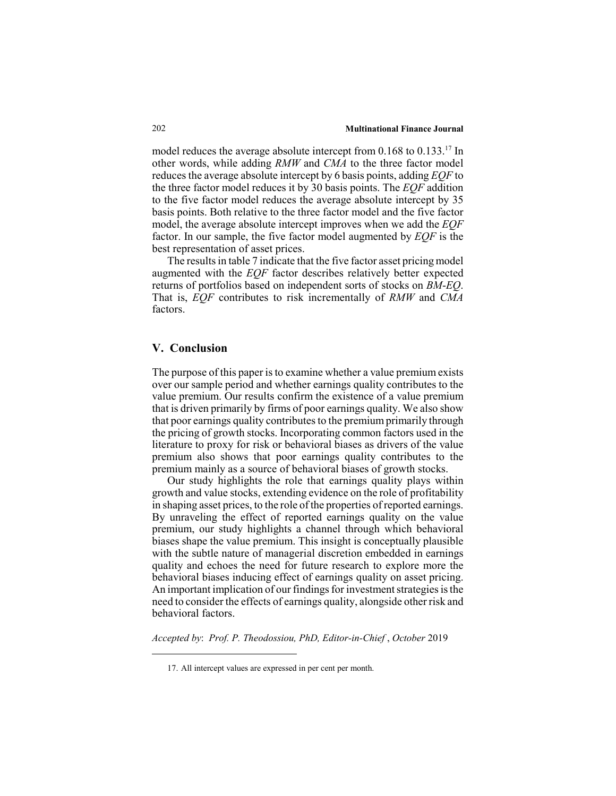model reduces the average absolute intercept from  $0.168$  to  $0.133^{17}$  In other words, while adding *RMW* and *CMA* to the three factor model reduces the average absolute intercept by 6 basis points, adding *EQF* to the three factor model reduces it by 30 basis points. The *EQF* addition to the five factor model reduces the average absolute intercept by 35 basis points. Both relative to the three factor model and the five factor model, the average absolute intercept improves when we add the *EQF* factor. In our sample, the five factor model augmented by *EQF* is the best representation of asset prices.

The results in table 7 indicate that the five factor asset pricing model augmented with the *EQF* factor describes relatively better expected returns of portfolios based on independent sorts of stocks on *BM*-*EQ*. That is, *EQF* contributes to risk incrementally of *RMW* and *CMA* factors.

## **V. Conclusion**

The purpose of this paper is to examine whether a value premium exists over our sample period and whether earnings quality contributes to the value premium. Our results confirm the existence of a value premium that is driven primarily by firms of poor earnings quality. We also show that poor earnings quality contributes to the premium primarily through the pricing of growth stocks. Incorporating common factors used in the literature to proxy for risk or behavioral biases as drivers of the value premium also shows that poor earnings quality contributes to the premium mainly as a source of behavioral biases of growth stocks.

Our study highlights the role that earnings quality plays within growth and value stocks, extending evidence on the role of profitability in shaping asset prices, to the role of the properties of reported earnings. By unraveling the effect of reported earnings quality on the value premium, our study highlights a channel through which behavioral biases shape the value premium. This insight is conceptually plausible with the subtle nature of managerial discretion embedded in earnings quality and echoes the need for future research to explore more the behavioral biases inducing effect of earnings quality on asset pricing. An important implication of our findings for investment strategies is the need to consider the effects of earnings quality, alongside other risk and behavioral factors.

*Accepted by*: *Prof. P. Theodossiou, PhD, Editor-in-Chief* , *October* 2019

<sup>17.</sup> All intercept values are expressed in per cent per month.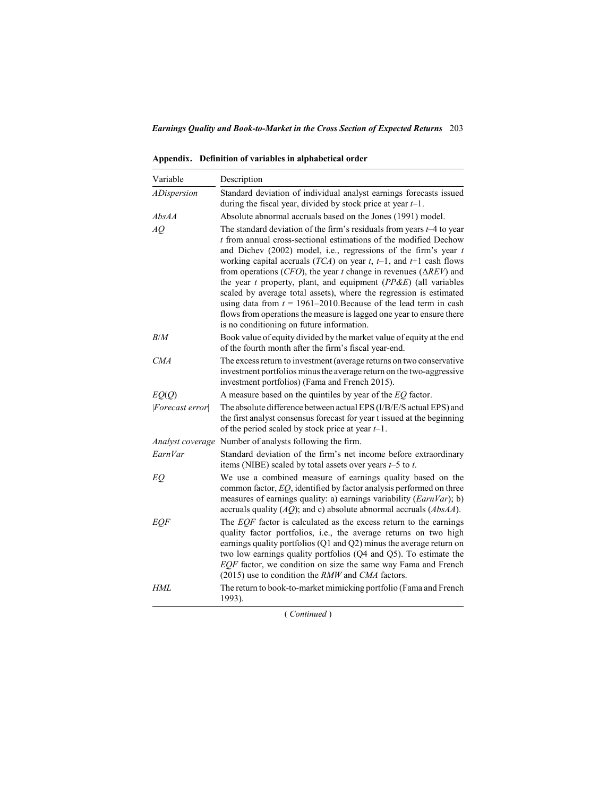**Appendix. Definition of variables in alphabetical order**

| Variable           | Description                                                                                                                                                                                                                                                                                                                                                                                                                                                                                                                                                                                                                                                                                                        |
|--------------------|--------------------------------------------------------------------------------------------------------------------------------------------------------------------------------------------------------------------------------------------------------------------------------------------------------------------------------------------------------------------------------------------------------------------------------------------------------------------------------------------------------------------------------------------------------------------------------------------------------------------------------------------------------------------------------------------------------------------|
| <i>ADispersion</i> | Standard deviation of individual analyst earnings forecasts issued<br>during the fiscal year, divided by stock price at year $t-1$ .                                                                                                                                                                                                                                                                                                                                                                                                                                                                                                                                                                               |
| AbsAA              | Absolute abnormal accruals based on the Jones (1991) model.                                                                                                                                                                                                                                                                                                                                                                                                                                                                                                                                                                                                                                                        |
| AQ                 | The standard deviation of the firm's residuals from years $t-4$ to year<br>t from annual cross-sectional estimations of the modified Dechow<br>and Dichev (2002) model, i.e., regressions of the firm's year $t$<br>working capital accruals ( $TCA$ ) on year t, t-1, and t+1 cash flows<br>from operations (CFO), the year t change in revenues ( $\triangle$ REV) and<br>the year $t$ property, plant, and equipment ( $PPAE$ ) (all variables<br>scaled by average total assets), where the regression is estimated<br>using data from $t = 1961-2010$ . Because of the lead term in cash<br>flows from operations the measure is lagged one year to ensure there<br>is no conditioning on future information. |
| B/M                | Book value of equity divided by the market value of equity at the end<br>of the fourth month after the firm's fiscal year-end.                                                                                                                                                                                                                                                                                                                                                                                                                                                                                                                                                                                     |
| <i>CMA</i>         | The excess return to investment (average returns on two conservative<br>investment portfolios minus the average return on the two-aggressive<br>investment portfolios) (Fama and French 2015).                                                                                                                                                                                                                                                                                                                                                                                                                                                                                                                     |
| EO(O)              | A measure based on the quintiles by year of the $EQ$ factor.                                                                                                                                                                                                                                                                                                                                                                                                                                                                                                                                                                                                                                                       |
| Forecast error     | The absolute difference between actual EPS (I/B/E/S actual EPS) and<br>the first analyst consensus forecast for year t issued at the beginning<br>of the period scaled by stock price at year $t-1$ .                                                                                                                                                                                                                                                                                                                                                                                                                                                                                                              |
|                    | Analyst coverage Number of analysts following the firm.                                                                                                                                                                                                                                                                                                                                                                                                                                                                                                                                                                                                                                                            |
| EarnVar            | Standard deviation of the firm's net income before extraordinary<br>items (NIBE) scaled by total assets over years $t-5$ to $t$ .                                                                                                                                                                                                                                                                                                                                                                                                                                                                                                                                                                                  |
| EQ                 | We use a combined measure of earnings quality based on the<br>common factor, $EQ$ , identified by factor analysis performed on three<br>measures of earnings quality: a) earnings variability (EarnVar); b)<br>accruals quality $(AQ)$ ; and c) absolute abnormal accruals $(AbsAA)$ .                                                                                                                                                                                                                                                                                                                                                                                                                             |
| <i>EQF</i>         | The $EQF$ factor is calculated as the excess return to the earnings<br>quality factor portfolios, i.e., the average returns on two high<br>earnings quality portfolios (Q1 and Q2) minus the average return on<br>two low earnings quality portfolios (Q4 and Q5). To estimate the<br>EQF factor, we condition on size the same way Fama and French<br>(2015) use to condition the RMW and CMA factors.                                                                                                                                                                                                                                                                                                            |
| HML                | The return to book-to-market mimicking portfolio (Fama and French<br>1993).                                                                                                                                                                                                                                                                                                                                                                                                                                                                                                                                                                                                                                        |

( *Continued* )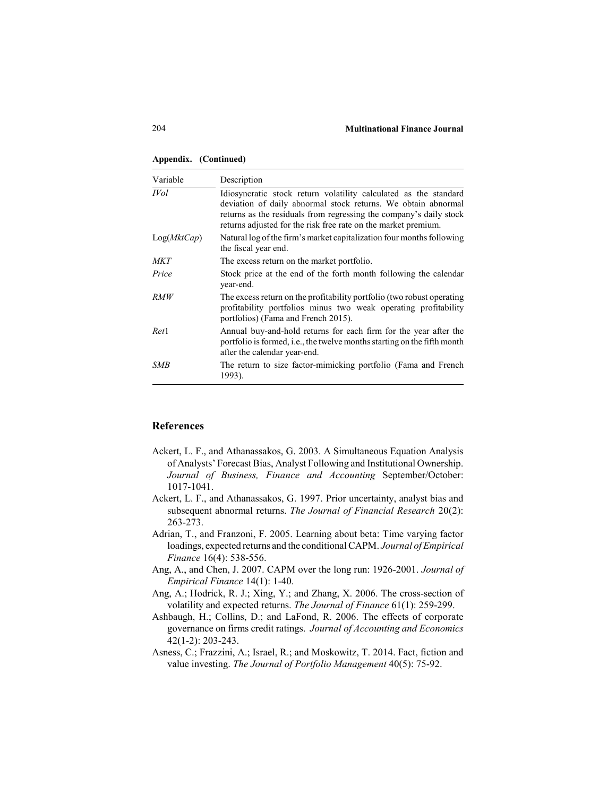#### **Appendix. (Continued)**

| Variable         | Description                                                                                                                                                                                                                                                               |
|------------------|---------------------------------------------------------------------------------------------------------------------------------------------------------------------------------------------------------------------------------------------------------------------------|
| <b>IVol</b>      | Idiosyncratic stock return volatility calculated as the standard<br>deviation of daily abnormal stock returns. We obtain abnormal<br>returns as the residuals from regressing the company's daily stock<br>returns adjusted for the risk free rate on the market premium. |
| Log(MktCap)      | Natural log of the firm's market capitalization four months following<br>the fiscal year end.                                                                                                                                                                             |
| MKT              | The excess return on the market portfolio.                                                                                                                                                                                                                                |
| Price            | Stock price at the end of the forth month following the calendar<br>year-end.                                                                                                                                                                                             |
| <i>RMW</i>       | The excess return on the profitability portfolio (two robust operating<br>profitability portfolios minus two weak operating profitability<br>portfolios) (Fama and French 2015).                                                                                          |
| Ret <sub>1</sub> | Annual buy-and-hold returns for each firm for the year after the<br>portfolio is formed, i.e., the twelve months starting on the fifth month<br>after the calendar year-end.                                                                                              |
| <b>SMB</b>       | The return to size factor-mimicking portfolio (Fama and French<br>1993).                                                                                                                                                                                                  |

#### **References**

- Ackert, L. F., and Athanassakos, G. 2003. A Simultaneous Equation Analysis of Analysts' Forecast Bias, Analyst Following and Institutional Ownership. *Journal of Business, Finance and Accounting* September/October: 1017-1041.
- Ackert, L. F., and Athanassakos, G. 1997. Prior uncertainty, analyst bias and subsequent abnormal returns. *The Journal of Financial Research* 20(2): 263-273.
- Adrian, T., and Franzoni, F. 2005. Learning about beta: Time varying factor loadings, expected returns and the conditional CAPM. *Journal of Empirical Finance* 16(4): 538-556.
- Ang, A., and Chen, J. 2007. CAPM over the long run: 1926-2001. *Journal of Empirical Finance* 14(1): 1-40.
- Ang, A.; Hodrick, R. J.; Xing, Y.; and Zhang, X. 2006. The cross-section of volatility and expected returns. *The Journal of Finance* 61(1): 259-299.
- Ashbaugh, H.; Collins, D.; and LaFond, R. 2006. The effects of corporate governance on firms credit ratings. *Journal of Accounting and Economics* 42(1-2): 203-243.
- Asness, C.; Frazzini, A.; Israel, R.; and Moskowitz, T. 2014. Fact, fiction and value investing. *The Journal of Portfolio Management* 40(5): 75-92.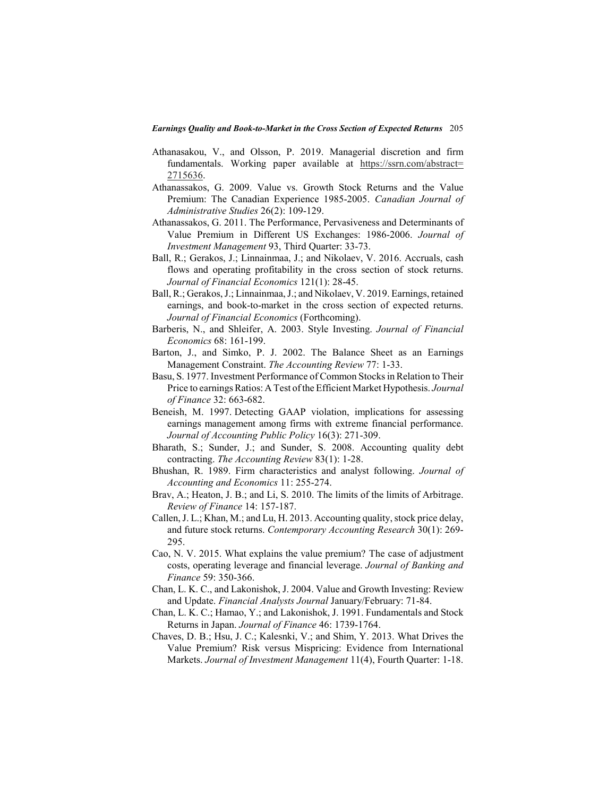- Athanasakou, V., and Olsson, P. 2019. Managerial discretion and firm fundamentals. Working paper available at [https://ssrn.com/abstract=](https://ssrn.com/abstract=2715636) [2715636.](https://ssrn.com/abstract=2715636)
- Athanassakos, G. 2009. Value vs. Growth Stock Returns and the Value Premium: The Canadian Experience 1985-2005. *Canadian Journal of Administrative Studies* 26(2): 109-129.
- Athanassakos, G. 2011. The Performance, Pervasiveness and Determinants of Value Premium in Different US Exchanges: 1986-2006. *Journal of Investment Management* 93, Third Quarter: 33-73.
- Ball, R.; Gerakos, J.; Linnainmaa, J.; and Nikolaev, V. 2016. Accruals, cash flows and operating profitability in the cross section of stock returns. *Journal of Financial Economics* 121(1): 28-45.
- Ball, R.; Gerakos, J.; Linnainmaa, J.; and Nikolaev, V. 2019. Earnings, retained earnings, and book-to-market in the cross section of expected returns. *Journal of Financial Economics* (Forthcoming).
- Barberis, N., and Shleifer, A. 2003. Style Investing. *Journal of Financial Economics* 68: 161-199.
- Barton, J., and Simko, P. J. 2002. The Balance Sheet as an Earnings Management Constraint. *The Accounting Review* 77: 1-33.
- Basu, S. 1977. Investment Performance of Common Stocks in Relation to Their Price to earnings Ratios: A Test of the Efficient Market Hypothesis. *Journal of Finance* 32: 663-682.
- Beneish, M. 1997. Detecting GAAP violation, implications for assessing earnings management among firms with extreme financial performance. *Journal of Accounting Public Policy* 16(3): 271-309.
- Bharath, S.; Sunder, J.; and Sunder, S. 2008. Accounting quality debt contracting. *The Accounting Review* 83(1): 1-28.
- Bhushan, R. 1989. Firm characteristics and analyst following. *Journal of Accounting and Economics* 11: 255-274.
- Brav, A.; Heaton, J. B.; and Li, S. 2010. The limits of the limits of Arbitrage. *Review of Finance* 14: 157-187.
- Callen, J. L.; Khan, M.; and Lu, H. 2013. Accounting quality, stock price delay, and future stock returns. *Contemporary Accounting Research* 30(1): 269- 295.
- Cao, N. V. 2015. What explains the value premium? The case of adjustment costs, operating leverage and financial leverage. *Journal of Banking and Finance* 59: 350-366.
- Chan, L. K. C., and Lakonishok, J. 2004. Value and Growth Investing: Review and Update. *Financial Analysts Journal* January/February: 71-84.
- Chan, L. K. C.; Hamao, Y.; and Lakonishok, J. 1991. Fundamentals and Stock Returns in Japan. *Journal of Finance* 46: 1739-1764.
- Chaves, D. B.; Hsu, J. C.; Kalesnki, V.; and Shim, Y. 2013. What Drives the Value Premium? Risk versus Mispricing: Evidence from International Markets. *Journal of Investment Management* 11(4), Fourth Quarter: 1-18.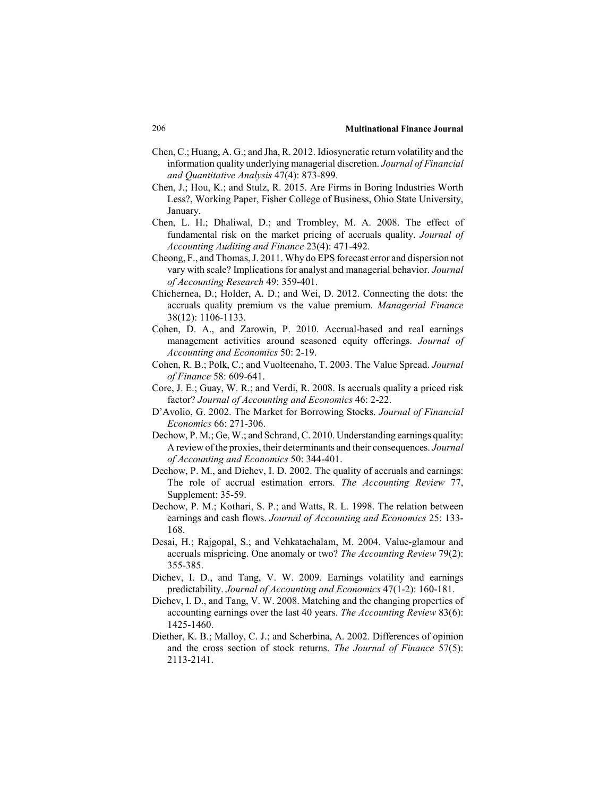- Chen, C.; Huang, A. G.; and Jha, R. 2012. Idiosyncratic return volatility and the information quality underlying managerial discretion. *Journal of Financial and Quantitative Analysis* 47(4): 873-899.
- Chen, J.; Hou, K.; and Stulz, R. 2015. Are Firms in Boring Industries Worth Less?, Working Paper, Fisher College of Business, Ohio State University, January.
- Chen, L. H.; Dhaliwal, D.; and Trombley, M. A. 2008. The effect of fundamental risk on the market pricing of accruals quality. *Journal of Accounting Auditing and Finance* 23(4): 471-492.
- Cheong, F., and Thomas, J. 2011. Why do EPS forecast error and dispersion not vary with scale? Implications for analyst and managerial behavior. *Journal of Accounting Research* 49: 359-401.
- Chichernea, D.; Holder, A. D.; and Wei, D. 2012. Connecting the dots: the accruals quality premium vs the value premium. *Managerial Finance* 38(12): 1106-1133.
- Cohen, D. A., and Zarowin, P. 2010. Accrual-based and real earnings management activities around seasoned equity offerings. *Journal of Accounting and Economics* 50: 2-19.
- Cohen, R. B.; Polk, C.; and Vuolteenaho, T. 2003. The Value Spread. *Journal of Finance* 58: 609-641.
- Core, J. E.; Guay, W. R.; and Verdi, R. 2008. Is accruals quality a priced risk factor? *Journal of Accounting and Economics* 46: 2-22.
- D'Avolio, G. 2002. The Market for Borrowing Stocks. *Journal of Financial Economics* 66: 271-306.
- Dechow, P. M.; Ge, W.; and Schrand, C. 2010. Understanding earnings quality: A review of the proxies, their determinants and their consequences. *Journal of Accounting and Economics* 50: 344-401.
- Dechow, P. M., and Dichev, I. D. 2002. The quality of accruals and earnings: The role of accrual estimation errors. *The Accounting Review* 77, Supplement: 35-59.
- Dechow, P. M.; Kothari, S. P.; and Watts, R. L. 1998. The relation between earnings and cash flows. *Journal of Accounting and Economics* 25: 133- 168.
- Desai, H.; Rajgopal, S.; and Vehkatachalam, M. 2004. Value-glamour and accruals mispricing. One anomaly or two? *The Accounting Review* 79(2): 355-385.
- Dichev, I. D., and Tang, V. W. 2009. Earnings volatility and earnings predictability. *Journal of Accounting and Economics* 47(1-2): 160-181.
- Dichev, I. D., and Tang, V. W. 2008. Matching and the changing properties of accounting earnings over the last 40 years. *The Accounting Review* 83(6): 1425-1460.
- Diether, K. B.; Malloy, C. J.; and Scherbina, A. 2002. Differences of opinion and the cross section of stock returns. *The Journal of Finance* 57(5): 2113-2141.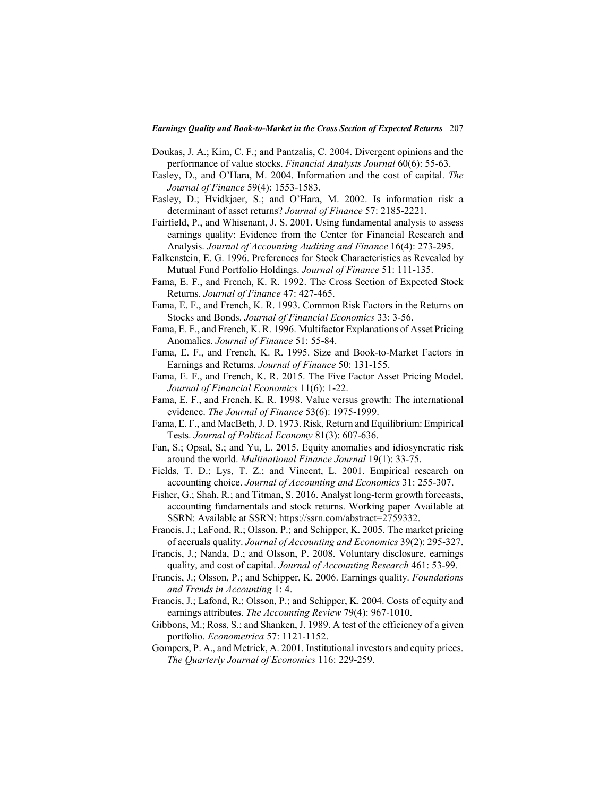- Doukas, J. A.; Kim, C. F.; and Pantzalis, C. 2004. Divergent opinions and the performance of value stocks. *Financial Analysts Journal* 60(6): 55-63.
- Easley, D., and O'Hara, M. 2004. Information and the cost of capital. *The Journal of Finance* 59(4): 1553-1583.
- Easley, D.; Hvidkjaer, S.; and O'Hara, M. 2002. Is information risk a determinant of asset returns? *Journal of Finance* 57: 2185-2221.
- Fairfield, P., and Whisenant, J. S. 2001. Using fundamental analysis to assess earnings quality: Evidence from the Center for Financial Research and Analysis. *Journal of Accounting Auditing and Finance* 16(4): 273-295.
- Falkenstein, E. G. 1996. Preferences for Stock Characteristics as Revealed by Mutual Fund Portfolio Holdings. *Journal of Finance* 51: 111-135.
- Fama, E. F., and French, K. R. 1992. The Cross Section of Expected Stock Returns. *Journal of Finance* 47: 427-465.
- Fama, E. F., and French, K. R. 1993. Common Risk Factors in the Returns on Stocks and Bonds. *Journal of Financial Economics* 33: 3-56.
- Fama, E. F., and French, K. R. 1996. Multifactor Explanations of Asset Pricing Anomalies. *Journal of Finance* 51: 55-84.
- Fama, E. F., and French, K. R. 1995. Size and Book-to-Market Factors in Earnings and Returns. *Journal of Finance* 50: 131-155.
- Fama, E. F., and French, K. R. 2015. The Five Factor Asset Pricing Model. *Journal of Financial Economics* 11(6): 1-22.
- Fama, E. F., and French, K. R. 1998. Value versus growth: The international evidence. *The Journal of Finance* 53(6): 1975-1999.
- Fama, E. F., and MacBeth, J. D. 1973. Risk, Return and Equilibrium: Empirical Tests. *Journal of Political Economy* 81(3): 607-636.
- Fan, S.; Opsal, S.; and Yu, L. 2015. Equity anomalies and idiosyncratic risk around the world. *Multinational Finance Journal* 19(1): 33-75.
- Fields, T. D.; Lys, T. Z.; and Vincent, L. 2001. Empirical research on accounting choice. *Journal of Accounting and Economics* 31: 255-307.
- Fisher, G.; Shah, R.; and Titman, S. 2016. Analyst long-term growth forecasts, accounting fundamentals and stock returns. Working paper Available at SSRN: Available at SSRN: https://ssrn.com/abstract=2759332.
- Francis, J.; LaFond, R.; Olsson, P.; and Schipper, K. 2005. The market pricing of accruals quality. *Journal of Accounting and Economics* 39(2): 295-327.
- Francis, J.; Nanda, D.; and Olsson, P. 2008. Voluntary disclosure, earnings quality, and cost of capital. *Journal of Accounting Research* 461: 53-99.
- Francis, J.; Olsson, P.; and Schipper, K. 2006. Earnings quality. *Foundations and Trends in Accounting* 1: 4.
- Francis, J.; Lafond, R.; Olsson, P.; and Schipper, K. 2004. Costs of equity and earnings attributes. *The Accounting Review* 79(4): 967-1010.
- Gibbons, M.; Ross, S.; and Shanken, J. 1989. A test of the efficiency of a given portfolio. *Econometrica* 57: 1121-1152.
- Gompers, P. A., and Metrick, A. 2001. Institutional investors and equity prices. *The Quarterly Journal of Economics* 116: 229-259.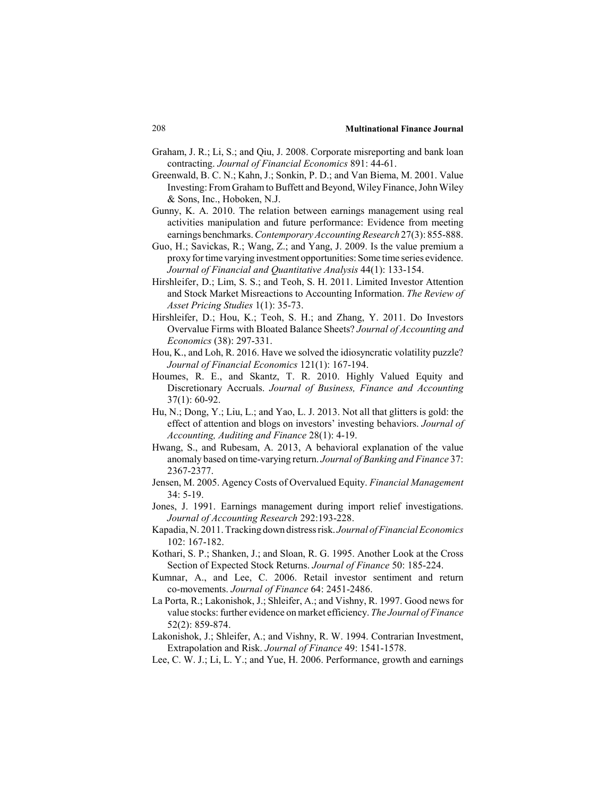- Graham, J. R.; Li, S.; and Qiu, J. 2008. Corporate misreporting and bank loan contracting. *Journal of Financial Economics* 891: 44-61.
- Greenwald, B. C. N.; Kahn, J.; Sonkin, P. D.; and Van Biema, M. 2001. Value Investing: From Graham to Buffett and Beyond, Wiley Finance, John Wiley & Sons, Inc., Hoboken, N.J.
- Gunny, K. A. 2010. The relation between earnings management using real activities manipulation and future performance: Evidence from meeting earnings benchmarks. *Contemporary Accounting Research* 27(3): 855-888.
- Guo, H.; Savickas, R.; Wang, Z.; and Yang, J. 2009. Is the value premium a proxy for time varying investment opportunities: Some time series evidence. *Journal of Financial and Quantitative Analysis* 44(1): 133-154.
- Hirshleifer, D.; Lim, S. S.; and Teoh, S. H. 2011. Limited Investor Attention and Stock Market Misreactions to Accounting Information. *The Review of Asset Pricing Studies* 1(1): 35-73.
- Hirshleifer, D.; Hou, K.; Teoh, S. H.; and Zhang, Y. 2011. Do Investors Overvalue Firms with Bloated Balance Sheets? *Journal of Accounting and Economics* (38): 297-331.
- Hou, K., and Loh, R. 2016. Have we solved the idiosyncratic volatility puzzle? *Journal of Financial Economics* 121(1): 167-194.
- Houmes, R. E., and Skantz, T. R. 2010. Highly Valued Equity and Discretionary Accruals. *Journal of Business, Finance and Accounting* 37(1): 60-92.
- Hu, N.; Dong, Y.; Liu, L.; and Yao, L. J. 2013. Not all that glitters is gold: the effect of attention and blogs on investors' investing behaviors. *Journal of Accounting, Auditing and Finance* 28(1): 4-19.
- Hwang, S., and Rubesam, A. 2013, A behavioral explanation of the value anomaly based on time-varying return. *Journal of Banking and Finance* 37: 2367-2377.
- Jensen, M. 2005. Agency Costs of Overvalued Equity. *Financial Management* 34: 5-19.
- Jones, J. 1991. Earnings management during import relief investigations. *Journal of Accounting Research* 292:193-228.
- Kapadia, N. 2011. Tracking down distress risk. *Journal of Financial Economics* 102: 167-182.
- Kothari, S. P.; Shanken, J.; and Sloan, R. G. 1995. Another Look at the Cross Section of Expected Stock Returns. *Journal of Finance* 50: 185-224.
- Kumnar, A., and Lee, C. 2006. Retail investor sentiment and return co-movements. *Journal of Finance* 64: 2451-2486.
- La Porta, R.; Lakonishok, J.; Shleifer, A.; and Vishny, R. 1997. Good news for value stocks: further evidence on market efficiency. *The Journal of Finance* 52(2): 859-874.
- Lakonishok, J.; Shleifer, A.; and Vishny, R. W. 1994. Contrarian Investment, Extrapolation and Risk. *Journal of Finance* 49: 1541-1578.
- Lee, C. W. J.; Li, L. Y.; and Yue, H. 2006. Performance, growth and earnings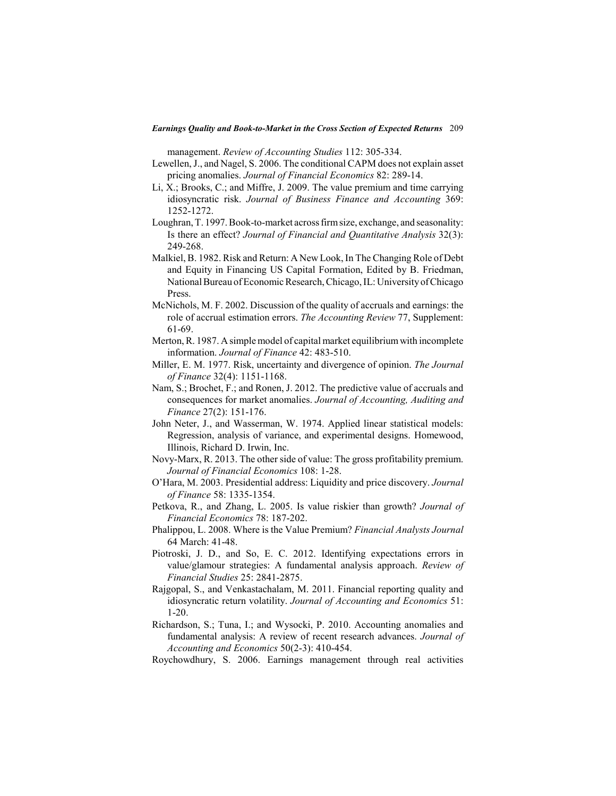management. *Review of Accounting Studies* 112: 305-334.

- Lewellen, J., and Nagel, S. 2006. The conditional CAPM does not explain asset pricing anomalies. *Journal of Financial Economics* 82: 289-14.
- Li, X.; Brooks, C.; and Miffre, J. 2009. The value premium and time carrying idiosyncratic risk. *Journal of Business Finance and Accounting* 369: 1252-1272.
- Loughran, T. 1997. Book-to-market across firm size, exchange, and seasonality: Is there an effect? *Journal of Financial and Quantitative Analysis* 32(3): 249-268.
- Malkiel, B. 1982. Risk and Return: A New Look, In The Changing Role of Debt and Equity in Financing US Capital Formation, Edited by B. Friedman, National Bureau of Economic Research, Chicago, IL: University of Chicago Press.
- McNichols, M. F. 2002. Discussion of the quality of accruals and earnings: the role of accrual estimation errors. *The Accounting Review* 77, Supplement: 61-69.
- Merton, R. 1987. A simple model of capital market equilibrium with incomplete information. *Journal of Finance* 42: 483-510.
- Miller, E. M. 1977. Risk, uncertainty and divergence of opinion. *The Journal of Finance* 32(4): 1151-1168.
- Nam, S.; Brochet, F.; and Ronen, J. 2012. The predictive value of accruals and consequences for market anomalies. *Journal of Accounting, Auditing and Finance* 27(2): 151-176.
- John Neter, J., and Wasserman, W. 1974. Applied linear statistical models: Regression, analysis of variance, and experimental designs. Homewood, Illinois, Richard D. Irwin, Inc.
- Novy-Marx, R. 2013. The other side of value: The gross profitability premium. *Journal of Financial Economics* 108: 1-28.
- O'Hara, M. 2003. Presidential address: Liquidity and price discovery. *Journal of Finance* 58: 1335-1354.
- Petkova, R., and Zhang, L. 2005. Is value riskier than growth? *Journal of Financial Economics* 78: 187-202.
- Phalippou, L. 2008. Where is the Value Premium? *Financial Analysts Journal* 64 March: 41-48.
- Piotroski, J. D., and So, E. C. 2012. Identifying expectations errors in value/glamour strategies: A fundamental analysis approach. *Review of Financial Studies* 25: 2841-2875.
- Rajgopal, S., and Venkastachalam, M. 2011. Financial reporting quality and idiosyncratic return volatility. *Journal of Accounting and Economics* 51: 1-20.
- Richardson, S.; Tuna, I.; and Wysocki, P. 2010. Accounting anomalies and fundamental analysis: A review of recent research advances. *Journal of Accounting and Economics* 50(2-3): 410-454.
- Roychowdhury, S. 2006. Earnings management through real activities